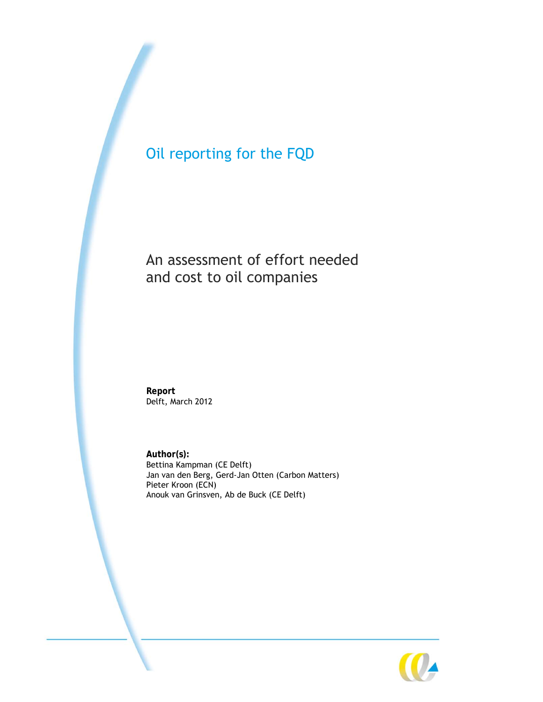### Oil reporting for the FQD

### An assessment of effort needed and cost to oil companies

**Report**  Delft, March 2012

**Author(s):**  Bettina Kampman (CE Delft) Jan van den Berg, Gerd-Jan Otten (Carbon Matters) Pieter Kroon (ECN) Anouk van Grinsven, Ab de Buck (CE Delft)

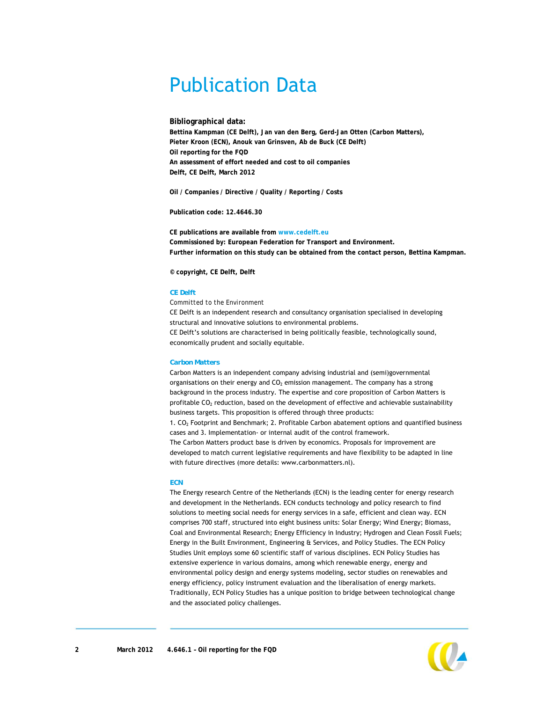## Publication Data

#### **Bibliographical data:**

**Bettina Kampman (CE Delft), Jan van den Berg, Gerd-Jan Otten (Carbon Matters), Pieter Kroon (ECN), Anouk van Grinsven, Ab de Buck (CE Delft) Oil reporting for the FQD An assessment of effort needed and cost to oil companies Delft, CE Delft, March 2012** 

**Oil / Companies / Directive / Quality / Reporting / Costs** 

**Publication code: 12.4646.30** 

**CE publications are available from www.cedelft.eu Commissioned by: European Federation for Transport and Environment. Further information on this study can be obtained from the contact person, Bettina Kampman.** 

**© copyright, CE Delft, Delft** 

#### *CE Delft*

*Committed to the Environment* 

CE Delft is an independent research and consultancy organisation specialised in developing structural and innovative solutions to environmental problems. CE Delft's solutions are characterised in being politically feasible, technologically sound, economically prudent and socially equitable.

#### *Carbon Matters*

Carbon Matters is an independent company advising industrial and (semi)governmental organisations on their energy and  $CO<sub>2</sub>$  emission management. The company has a strong background in the process industry. The expertise and core proposition of Carbon Matters is profitable  $CO<sub>2</sub>$  reduction, based on the development of effective and achievable sustainability business targets. This proposition is offered through three products: 1. CO2 Footprint and Benchmark; 2. Profitable Carbon abatement options and quantified business cases and 3. Implementation- or internal audit of the control framework. The Carbon Matters product base is driven by economics. Proposals for improvement are developed to match current legislative requirements and have flexibility to be adapted in line with future directives (more details: www.carbonmatters.nl).

#### *ECN*

The Energy research Centre of the Netherlands (ECN) is the leading center for energy research and development in the Netherlands. ECN conducts technology and policy research to find solutions to meeting social needs for energy services in a safe, efficient and clean way. ECN comprises 700 staff, structured into eight business units: Solar Energy; Wind Energy; Biomass, Coal and Environmental Research; Energy Efficiency in Industry; Hydrogen and Clean Fossil Fuels; Energy in the Built Environment, Engineering & Services, and Policy Studies. The ECN Policy Studies Unit employs some 60 scientific staff of various disciplines. ECN Policy Studies has extensive experience in various domains, among which renewable energy, energy and environmental policy design and energy systems modeling, sector studies on renewables and energy efficiency, policy instrument evaluation and the liberalisation of energy markets. Traditionally, ECN Policy Studies has a unique position to bridge between technological change and the associated policy challenges.

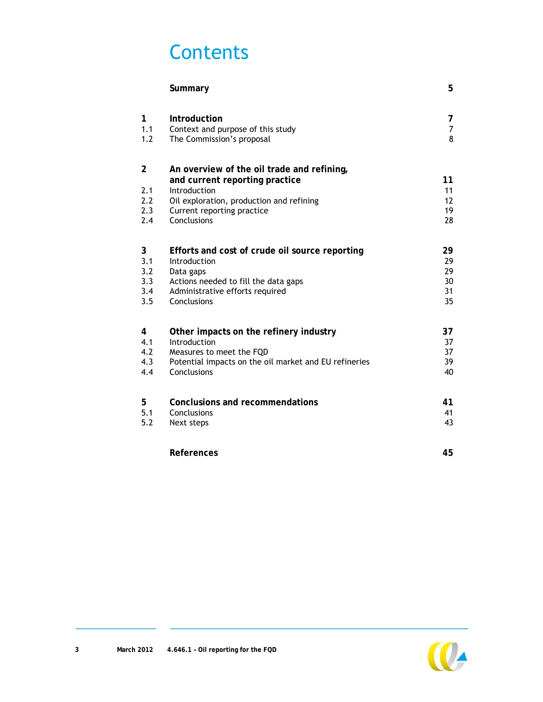## **Contents**

|                               | Summary                                                                                                                                                                               | 5                                       |
|-------------------------------|---------------------------------------------------------------------------------------------------------------------------------------------------------------------------------------|-----------------------------------------|
| 1                             | Introduction                                                                                                                                                                          | 7                                       |
| 1.1                           | Context and purpose of this study                                                                                                                                                     | $\overline{7}$                          |
| 1.2                           | The Commission's proposal                                                                                                                                                             | 8                                       |
| 2<br>2.1<br>2.2<br>2.3<br>2.4 | An overview of the oil trade and refining,<br>and current reporting practice<br>Introduction<br>Oil exploration, production and refining<br>Current reporting practice<br>Conclusions | 11<br>11<br>12 <sup>2</sup><br>19<br>28 |
| 3                             | Efforts and cost of crude oil source reporting                                                                                                                                        | 29                                      |
| 3.1                           | Introduction                                                                                                                                                                          | 29                                      |
| 3.2                           | Data gaps                                                                                                                                                                             | 29                                      |
| 3.3                           | Actions needed to fill the data gaps                                                                                                                                                  | 30                                      |
| 3.4                           | Administrative efforts required                                                                                                                                                       | 31                                      |
| 3.5                           | Conclusions                                                                                                                                                                           | 35                                      |
| 4                             | Other impacts on the refinery industry                                                                                                                                                | 37                                      |
| 4.1                           | Introduction                                                                                                                                                                          | 37                                      |
| 4.2                           | Measures to meet the FQD                                                                                                                                                              | 37                                      |
| 4.3                           | Potential impacts on the oil market and EU refineries                                                                                                                                 | 39                                      |
| 4.4                           | Conclusions                                                                                                                                                                           | 40                                      |
| 5                             | <b>Conclusions and recommendations</b>                                                                                                                                                | 41                                      |
| 5.1                           | Conclusions                                                                                                                                                                           | 41                                      |
| 5.2                           | Next steps                                                                                                                                                                            | 43                                      |
|                               | References                                                                                                                                                                            | 45                                      |

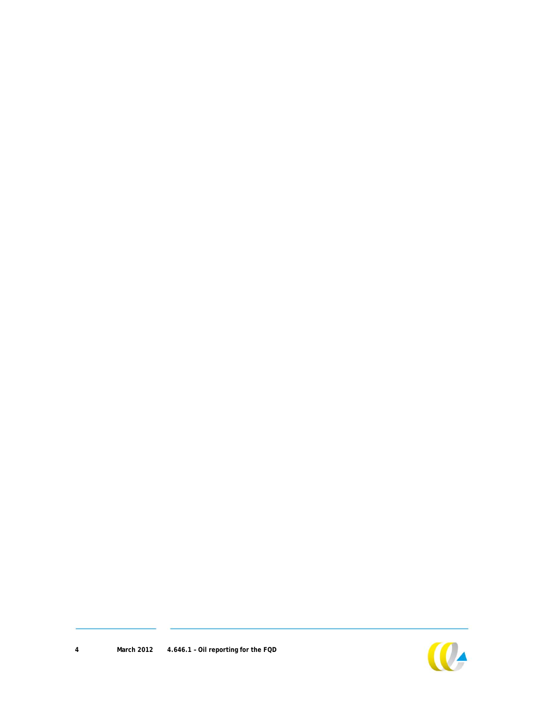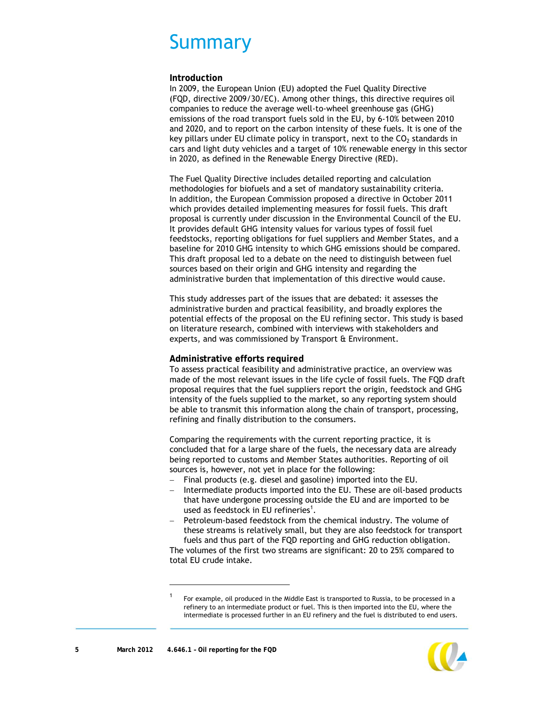## Summary

#### **Introduction**

In 2009, the European Union (EU) adopted the Fuel Quality Directive (FQD, directive 2009/30/EC). Among other things, this directive requires oil companies to reduce the average well-to-wheel greenhouse gas (GHG) emissions of the road transport fuels sold in the EU, by 6-10% between 2010 and 2020, and to report on the carbon intensity of these fuels. It is one of the key pillars under EU climate policy in transport, next to the  $CO<sub>2</sub>$  standards in cars and light duty vehicles and a target of 10% renewable energy in this sector in 2020, as defined in the Renewable Energy Directive (RED).

The Fuel Quality Directive includes detailed reporting and calculation methodologies for biofuels and a set of mandatory sustainability criteria. In addition, the European Commission proposed a directive in October 2011 which provides detailed implementing measures for fossil fuels. This draft proposal is currently under discussion in the Environmental Council of the EU. It provides default GHG intensity values for various types of fossil fuel feedstocks, reporting obligations for fuel suppliers and Member States, and a baseline for 2010 GHG intensity to which GHG emissions should be compared. This draft proposal led to a debate on the need to distinguish between fuel sources based on their origin and GHG intensity and regarding the administrative burden that implementation of this directive would cause.

This study addresses part of the issues that are debated: it assesses the administrative burden and practical feasibility, and broadly explores the potential effects of the proposal on the EU refining sector. This study is based on literature research, combined with interviews with stakeholders and experts, and was commissioned by Transport & Environment.

#### **Administrative efforts required**

To assess practical feasibility and administrative practice, an overview was made of the most relevant issues in the life cycle of fossil fuels. The FQD draft proposal requires that the fuel suppliers report the origin, feedstock and GHG intensity of the fuels supplied to the market, so any reporting system should be able to transmit this information along the chain of transport, processing, refining and finally distribution to the consumers.

Comparing the requirements with the current reporting practice, it is concluded that for a large share of the fuels, the necessary data are already being reported to customs and Member States authorities. Reporting of oil sources is, however, not yet in place for the following:

- Final products (e.g. diesel and gasoline) imported into the EU.
- Intermediate products imported into the EU. These are oil-based products that have undergone processing outside the EU and are imported to be used as feedstock in EU refineries $^1$ .
- Petroleum-based feedstock from the chemical industry. The volume of these streams is relatively small, but they are also feedstock for transport fuels and thus part of the FQD reporting and GHG reduction obligation.

The volumes of the first two streams are significant: 20 to 25% compared to total EU crude intake.

For example, oil produced in the Middle East is transported to Russia, to be processed in a refinery to an intermediate product or fuel. This is then imported into the EU, where the intermediate is processed further in an EU refinery and the fuel is distributed to end users.

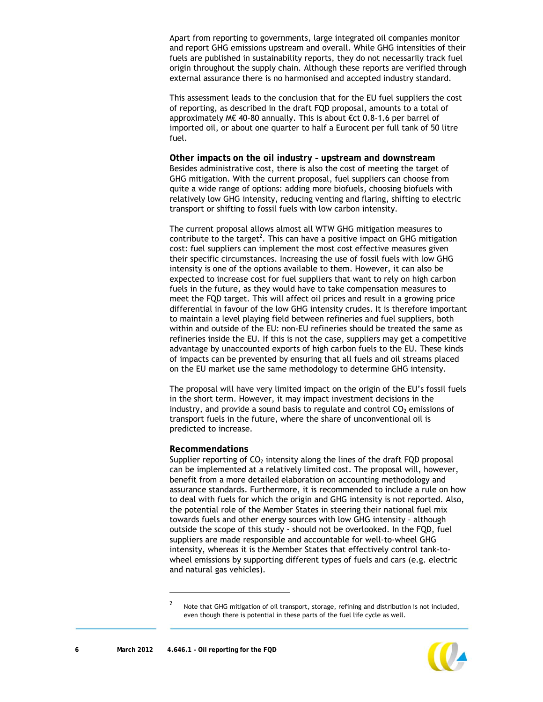Apart from reporting to governments, large integrated oil companies monitor and report GHG emissions upstream and overall. While GHG intensities of their fuels are published in sustainability reports, they do not necessarily track fuel origin throughout the supply chain. Although these reports are verified through external assurance there is no harmonised and accepted industry standard.

This assessment leads to the conclusion that for the EU fuel suppliers the cost of reporting, as described in the draft FQD proposal, amounts to a total of approximately M€ 40-80 annually. This is about €ct 0.8-1.6 per barrel of imported oil, or about one quarter to half a Eurocent per full tank of 50 litre fuel.

**Other impacts on the oil industry – upstream and downstream**  Besides administrative cost, there is also the cost of meeting the target of GHG mitigation. With the current proposal, fuel suppliers can choose from quite a wide range of options: adding more biofuels, choosing biofuels with relatively low GHG intensity, reducing venting and flaring, shifting to electric transport or shifting to fossil fuels with low carbon intensity.

The current proposal allows almost all WTW GHG mitigation measures to contribute to the target<sup>2</sup>. This can have a positive impact on GHG mitigation cost: fuel suppliers can implement the most cost effective measures given their specific circumstances. Increasing the use of fossil fuels with low GHG intensity is one of the options available to them. However, it can also be expected to increase cost for fuel suppliers that want to rely on high carbon fuels in the future, as they would have to take compensation measures to meet the FQD target. This will affect oil prices and result in a growing price differential in favour of the low GHG intensity crudes. It is therefore important to maintain a level playing field between refineries and fuel suppliers, both within and outside of the EU: non-EU refineries should be treated the same as refineries inside the EU. If this is not the case, suppliers may get a competitive advantage by unaccounted exports of high carbon fuels to the EU. These kinds of impacts can be prevented by ensuring that all fuels and oil streams placed on the EU market use the same methodology to determine GHG intensity.

The proposal will have very limited impact on the origin of the EU's fossil fuels in the short term. However, it may impact investment decisions in the industry, and provide a sound basis to regulate and control  $CO<sub>2</sub>$  emissions of transport fuels in the future, where the share of unconventional oil is predicted to increase.

#### **Recommendations**

Supplier reporting of  $CO<sub>2</sub>$  intensity along the lines of the draft FQD proposal can be implemented at a relatively limited cost. The proposal will, however, benefit from a more detailed elaboration on accounting methodology and assurance standards. Furthermore, it is recommended to include a rule on how to deal with fuels for which the origin and GHG intensity is not reported. Also, the potential role of the Member States in steering their national fuel mix towards fuels and other energy sources with low GHG intensity – although outside the scope of this study - should not be overlooked. In the FQD, fuel suppliers are made responsible and accountable for well-to-wheel GHG intensity, whereas it is the Member States that effectively control tank-towheel emissions by supporting different types of fuels and cars (e.g. electric and natural gas vehicles).

<sup>2</sup> Note that GHG mitigation of oil transport, storage, refining and distribution is not included, even though there is potential in these parts of the fuel life cycle as well.



l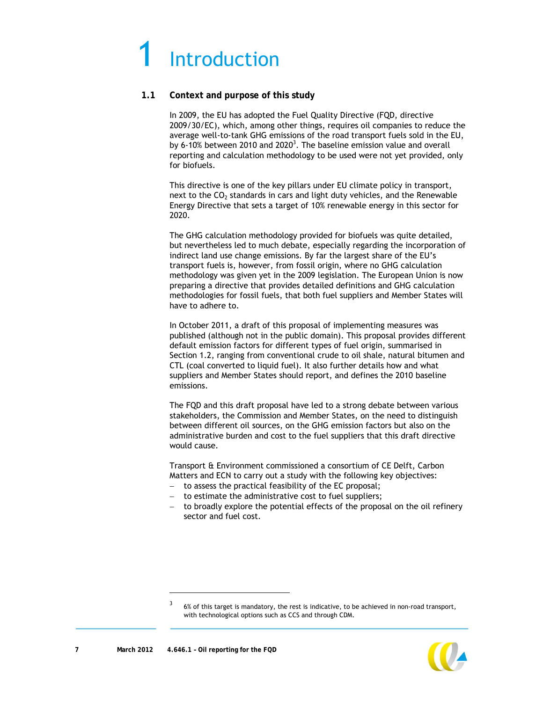# **Introduction**

#### **1.1 Context and purpose of this study**

In 2009, the EU has adopted the Fuel Quality Directive (FQD, directive 2009/30/EC), which, among other things, requires oil companies to reduce the average well-to-tank GHG emissions of the road transport fuels sold in the EU, by 6-10% between 2010 and 2020<sup>3</sup>. The baseline emission value and overall reporting and calculation methodology to be used were not yet provided, only for biofuels.

This directive is one of the key pillars under EU climate policy in transport, next to the  $CO<sub>2</sub>$  standards in cars and light duty vehicles, and the Renewable Energy Directive that sets a target of 10% renewable energy in this sector for 2020.

The GHG calculation methodology provided for biofuels was quite detailed, but nevertheless led to much debate, especially regarding the incorporation of indirect land use change emissions. By far the largest share of the EU's transport fuels is, however, from fossil origin, where no GHG calculation methodology was given yet in the 2009 legislation. The European Union is now preparing a directive that provides detailed definitions and GHG calculation methodologies for fossil fuels, that both fuel suppliers and Member States will have to adhere to.

In October 2011, a draft of this proposal of implementing measures was published (although not in the public domain). This proposal provides different default emission factors for different types of fuel origin, summarised in Section 1.2, ranging from conventional crude to oil shale, natural bitumen and CTL (coal converted to liquid fuel). It also further details how and what suppliers and Member States should report, and defines the 2010 baseline emissions.

The FQD and this draft proposal have led to a strong debate between various stakeholders, the Commission and Member States, on the need to distinguish between different oil sources, on the GHG emission factors but also on the administrative burden and cost to the fuel suppliers that this draft directive would cause.

Transport & Environment commissioned a consortium of CE Delft, Carbon Matters and ECN to carry out a study with the following key objectives:

- $-$  to assess the practical feasibility of the EC proposal;
- to estimate the administrative cost to fuel suppliers;
- to broadly explore the potential effects of the proposal on the oil refinery sector and fuel cost.

 <sup>6%</sup> of this target is mandatory, the rest is indicative, to be achieved in non-road transport, with technological options such as CCS and through CDM.

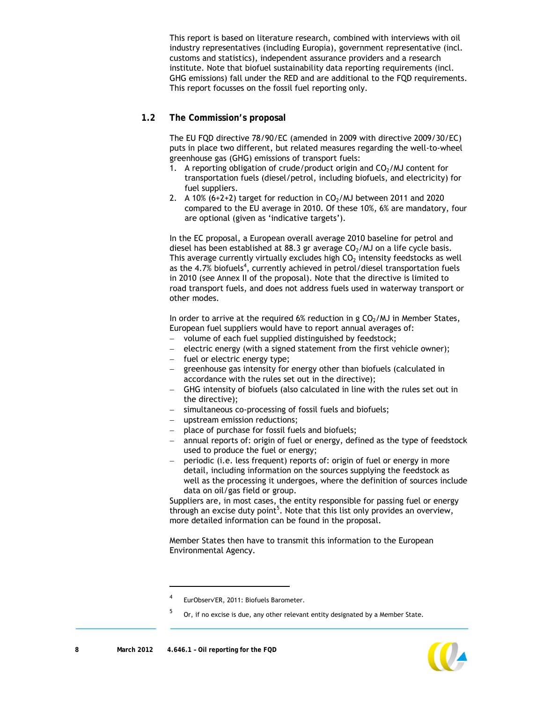This report is based on literature research, combined with interviews with oil industry representatives (including Europia), government representative (incl. customs and statistics), independent assurance providers and a research institute. Note that biofuel sustainability data reporting requirements (incl. GHG emissions) fall under the RED and are additional to the FQD requirements. This report focusses on the fossil fuel reporting only.

#### **1.2 The Commission's proposal**

The EU FQD directive 78/90/EC (amended in 2009 with directive 2009/30/EC) puts in place two different, but related measures regarding the well-to-wheel greenhouse gas (GHG) emissions of transport fuels:

- 1. A reporting obligation of crude/product origin and  $CO<sub>2</sub>/MJ$  content for transportation fuels (diesel/petrol, including biofuels, and electricity) for fuel suppliers.
- 2. A 10% (6+2+2) target for reduction in  $CO<sub>2</sub>/MJ$  between 2011 and 2020 compared to the EU average in 2010. Of these 10%, 6% are mandatory, four are optional (given as 'indicative targets').

In the EC proposal, a European overall average 2010 baseline for petrol and diesel has been established at 88.3 gr average  $CO<sub>2</sub>/MJ$  on a life cycle basis. This average currently virtually excludes high  $CO<sub>2</sub>$  intensity feedstocks as well as the 4.7% biofuels<sup>4</sup>, currently achieved in petrol/diesel transportation fuels in 2010 (see Annex II of the proposal). Note that the directive is limited to road transport fuels, and does not address fuels used in waterway transport or other modes.

In order to arrive at the required 6% reduction in  $g \text{CO}_2/M$ J in Member States, European fuel suppliers would have to report annual averages of:

- volume of each fuel supplied distinguished by feedstock;
- $e$  electric energy (with a signed statement from the first vehicle owner);
- fuel or electric energy type;
- greenhouse gas intensity for energy other than biofuels (calculated in accordance with the rules set out in the directive);
- GHG intensity of biofuels (also calculated in line with the rules set out in the directive);
- simultaneous co-processing of fossil fuels and biofuels;
- upstream emission reductions;
- place of purchase for fossil fuels and biofuels;
- annual reports of: origin of fuel or energy, defined as the type of feedstock used to produce the fuel or energy;
- periodic (i.e. less frequent) reports of: origin of fuel or energy in more detail, including information on the sources supplying the feedstock as well as the processing it undergoes, where the definition of sources include data on oil/gas field or group.

Suppliers are, in most cases, the entity responsible for passing fuel or energy through an excise duty point<sup>5</sup>. Note that this list only provides an overview, more detailed information can be found in the proposal.

Member States then have to transmit this information to the European Environmental Agency.

Or, if no excise is due, any other relevant entity designated by a Member State.



 $\overline{a}$ 

5

<sup>4</sup> EurObserv'ER, 2011: Biofuels Barometer.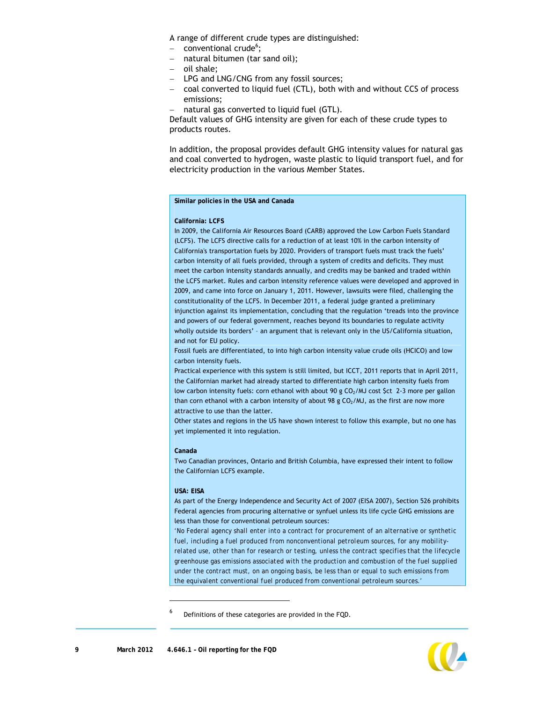A range of different crude types are distinguished:

- $-$  conventional crude<sup>6</sup>;
- natural bitumen (tar sand oil);
- oil shale;
- LPG and LNG/CNG from any fossil sources;
- coal converted to liquid fuel (CTL), both with and without CCS of process emissions;
- natural gas converted to liquid fuel (GTL).

Default values of GHG intensity are given for each of these crude types to products routes.

In addition, the proposal provides default GHG intensity values for natural gas and coal converted to hydrogen, waste plastic to liquid transport fuel, and for electricity production in the various Member States.

#### **Similar policies in the USA and Canada**

#### **California: LCFS**

In 2009, the California Air Resources Board (CARB) approved the Low Carbon Fuels Standard (LCFS). The LCFS directive calls for a reduction of at least 10% in the carbon intensity of California's transportation fuels by 2020. Providers of transport fuels must track the fuels' carbon intensity of all fuels provided, through a system of credits and deficits. They must meet the carbon intensity standards annually, and credits may be banked and traded within the LCFS market. Rules and carbon intensity reference values were developed and approved in 2009, and came into force on January 1, 2011. However, lawsuits were filed, challenging the constitutionality of the LCFS. In December 2011, a federal judge granted a preliminary injunction against its implementation, concluding that the regulation 'treads into the province and powers of our federal government, reaches beyond its boundaries to regulate activity wholly outside its borders' - an argument that is relevant only in the US/California situation, and not for EU policy.

Fossil fuels are differentiated, to into high carbon intensity value crude oils (HCICO) and low carbon intensity fuels.

Practical experience with this system is still limited, but ICCT, 2011 reports that in April 2011, the Californian market had already started to differentiate high carbon intensity fuels from low carbon intensity fuels: corn ethanol with about 90 g  $CO<sub>2</sub>/MJ$  cost \$ct 2-3 more per gallon than corn ethanol with a carbon intensity of about 98 g  $CO<sub>2</sub>/M$ , as the first are now more attractive to use than the latter.

Other states and regions in the US have shown interest to follow this example, but no one has yet implemented it into regulation.

#### **Canada**

Two Canadian provinces, Ontario and British Columbia, have expressed their intent to follow the Californian LCFS example.

#### **USA: EISA**

As part of the Energy Independence and Security Act of 2007 (EISA 2007), Section 526 prohibits Federal agencies from procuring alternative or synfuel unless its life cycle GHG emissions are less than those for conventional petroleum sources:

*'No Federal agency shall enter into a contract for procurement of an alternative or synthetic fuel, including a fuel produced from nonconventional petroleum sources, for any mobilityrelated use, other than for research or testing, unless the contract specifies that the lifecycle greenhouse gas emissions associated with the production and combustion of the fuel supplied under the contract must, on an ongoing basis, be less than or equal to such emissions from the equivalent conventional fuel produced from conventional petroleum sources.'* 



l 6

Definitions of these categories are provided in the FQD.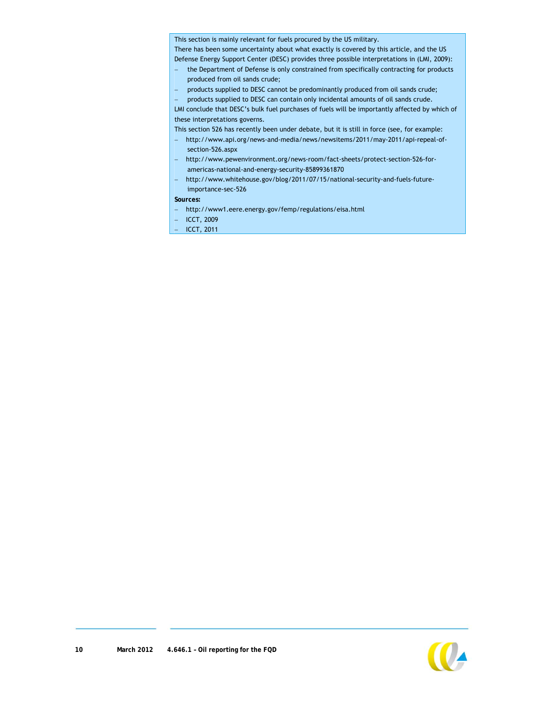This section is mainly relevant for fuels procured by the US military.

There has been some uncertainty about what exactly is covered by this article, and the US Defense Energy Support Center (DESC) provides three possible interpretations in (LMI, 2009):

- the Department of Defense is only constrained from specifically contracting for products produced from oil sands crude;
- products supplied to DESC cannot be predominantly produced from oil sands crude;
- products supplied to DESC can contain only incidental amounts of oil sands crude.

LMI conclude that DESC's bulk fuel purchases of fuels will be importantly affected by which of these interpretations governs.

This section 526 has recently been under debate, but it is still in force (see, for example:

- http://www.api.org/news-and-media/news/newsitems/2011/may-2011/api-repeal-ofsection-526.aspx
- http://www.pewenvironment.org/news-room/fact-sheets/protect-section-526-foramericas-national-and-energy-security-85899361870
- http://www.whitehouse.gov/blog/2011/07/15/national-security-and-fuels-futureimportance-sec-526

#### **Sources:**

- http://www1.eere.energy.gov/femp/regulations/eisa.html
- ICCT, 2009
- $-$  ICCT, 2011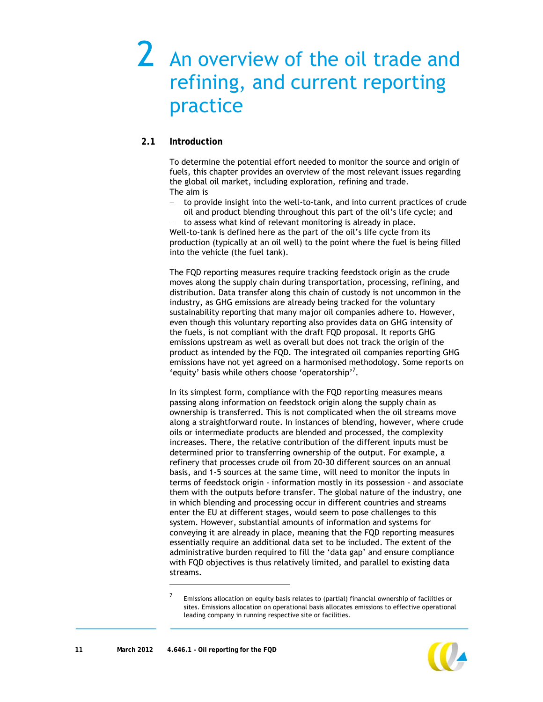## 2 An overview of the oil trade and refining, and current reporting practice

#### **2.1 Introduction**

To determine the potential effort needed to monitor the source and origin of fuels, this chapter provides an overview of the most relevant issues regarding the global oil market, including exploration, refining and trade. The aim is

- to provide insight into the well-to-tank, and into current practices of crude oil and product blending throughout this part of the oil's life cycle; and

 to assess what kind of relevant monitoring is already in place. Well-to-tank is defined here as the part of the oil's life cycle from its production (typically at an oil well) to the point where the fuel is being filled into the vehicle (the fuel tank).

The FQD reporting measures require tracking feedstock origin as the crude moves along the supply chain during transportation, processing, refining, and distribution. Data transfer along this chain of custody is not uncommon in the industry, as GHG emissions are already being tracked for the voluntary sustainability reporting that many major oil companies adhere to. However, even though this voluntary reporting also provides data on GHG intensity of the fuels, is not compliant with the draft FQD proposal. It reports GHG emissions upstream as well as overall but does not track the origin of the product as intended by the FQD. The integrated oil companies reporting GHG emissions have not yet agreed on a harmonised methodology. Some reports on 'equity' basis while others choose 'operatorship'<sup>7</sup>.

In its simplest form, compliance with the FQD reporting measures means passing along information on feedstock origin along the supply chain as ownership is transferred. This is not complicated when the oil streams move along a straightforward route. In instances of blending, however, where crude oils or intermediate products are blended and processed, the complexity increases. There, the relative contribution of the different inputs must be determined prior to transferring ownership of the output. For example, a refinery that processes crude oil from 20-30 different sources on an annual basis, and 1-5 sources at the same time, will need to monitor the inputs in terms of feedstock origin - information mostly in its possession - and associate them with the outputs before transfer. The global nature of the industry, one in which blending and processing occur in different countries and streams enter the EU at different stages, would seem to pose challenges to this system. However, substantial amounts of information and systems for conveying it are already in place, meaning that the FQD reporting measures essentially require an additional data set to be included. The extent of the administrative burden required to fill the 'data gap' and ensure compliance with FQD objectives is thus relatively limited, and parallel to existing data streams.

<sup>7</sup> Emissions allocation on equity basis relates to (partial) financial ownership of facilities or sites. Emissions allocation on operational basis allocates emissions to effective operational leading company in running respective site or facilities.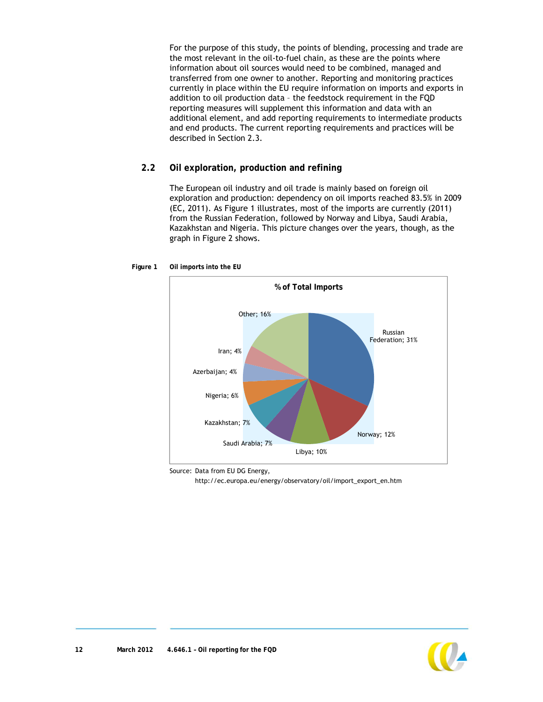For the purpose of this study, the points of blending, processing and trade are the most relevant in the oil-to-fuel chain, as these are the points where information about oil sources would need to be combined, managed and transferred from one owner to another. Reporting and monitoring practices currently in place within the EU require information on imports and exports in addition to oil production data – the feedstock requirement in the FQD reporting measures will supplement this information and data with an additional element, and add reporting requirements to intermediate products and end products. The current reporting requirements and practices will be described in Section 2.3.

#### **2.2 Oil exploration, production and refining**

The European oil industry and oil trade is mainly based on foreign oil exploration and production: dependency on oil imports reached 83.5% in 2009 (EC, 2011). As Figure 1 illustrates, most of the imports are currently (2011) from the Russian Federation, followed by Norway and Libya, Saudi Arabia, Kazakhstan and Nigeria. This picture changes over the years, though, as the graph in Figure 2 shows.





Source: Data from EU DG Energy,

http://ec.europa.eu/energy/observatory/oil/import\_export\_en.htm

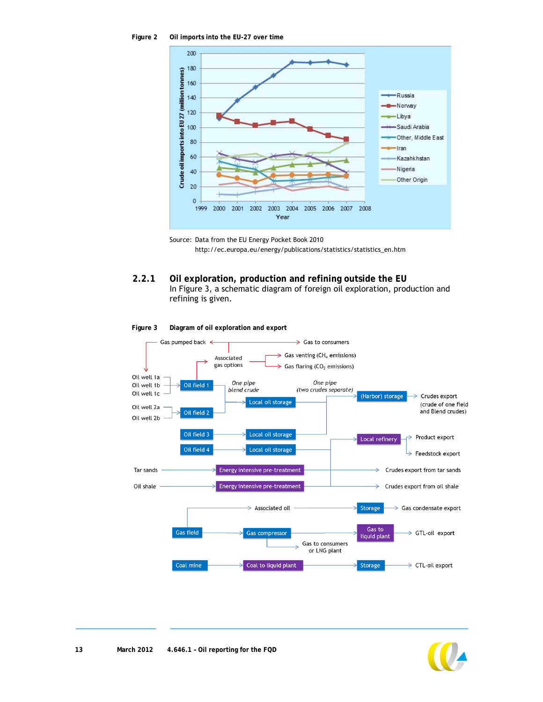





**2.2.1 Oil exploration, production and refining outside the EU**  In Figure 3, a schematic diagram of foreign oil exploration, production and refining is given.



**Figure 3 Diagram of oil exploration and export** 

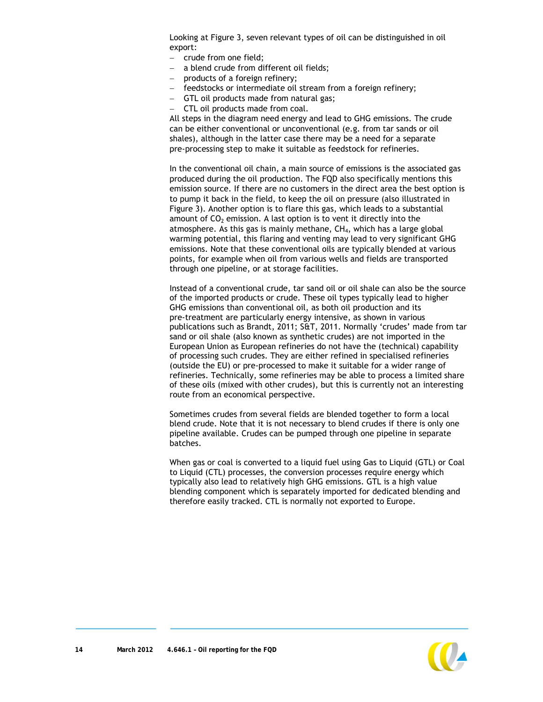Looking at Figure 3, seven relevant types of oil can be distinguished in oil export:

- crude from one field;
- a blend crude from different oil fields;
- products of a foreign refinery;
- feedstocks or intermediate oil stream from a foreign refinery;
- GTL oil products made from natural gas;
- CTL oil products made from coal.

All steps in the diagram need energy and lead to GHG emissions. The crude can be either conventional or unconventional (e.g. from tar sands or oil shales), although in the latter case there may be a need for a separate pre-processing step to make it suitable as feedstock for refineries.

In the conventional oil chain, a main source of emissions is the associated gas produced during the oil production. The FQD also specifically mentions this emission source. If there are no customers in the direct area the best option is to pump it back in the field, to keep the oil on pressure (also illustrated in Figure 3). Another option is to flare this gas, which leads to a substantial amount of  $CO<sub>2</sub>$  emission. A last option is to vent it directly into the atmosphere. As this gas is mainly methane,  $CH<sub>4</sub>$ , which has a large global warming potential, this flaring and venting may lead to very significant GHG emissions. Note that these conventional oils are typically blended at various points, for example when oil from various wells and fields are transported through one pipeline, or at storage facilities.

Instead of a conventional crude, tar sand oil or oil shale can also be the source of the imported products or crude. These oil types typically lead to higher GHG emissions than conventional oil, as both oil production and its pre-treatment are particularly energy intensive, as shown in various publications such as Brandt, 2011; S&T, 2011. Normally 'crudes' made from tar sand or oil shale (also known as synthetic crudes) are not imported in the European Union as European refineries do not have the (technical) capability of processing such crudes. They are either refined in specialised refineries (outside the EU) or pre-processed to make it suitable for a wider range of refineries. Technically, some refineries may be able to process a limited share of these oils (mixed with other crudes), but this is currently not an interesting route from an economical perspective.

Sometimes crudes from several fields are blended together to form a local blend crude. Note that it is not necessary to blend crudes if there is only one pipeline available. Crudes can be pumped through one pipeline in separate batches.

When gas or coal is converted to a liquid fuel using Gas to Liquid (GTL) or Coal to Liquid (CTL) processes, the conversion processes require energy which typically also lead to relatively high GHG emissions. GTL is a high value blending component which is separately imported for dedicated blending and therefore easily tracked. CTL is normally not exported to Europe.

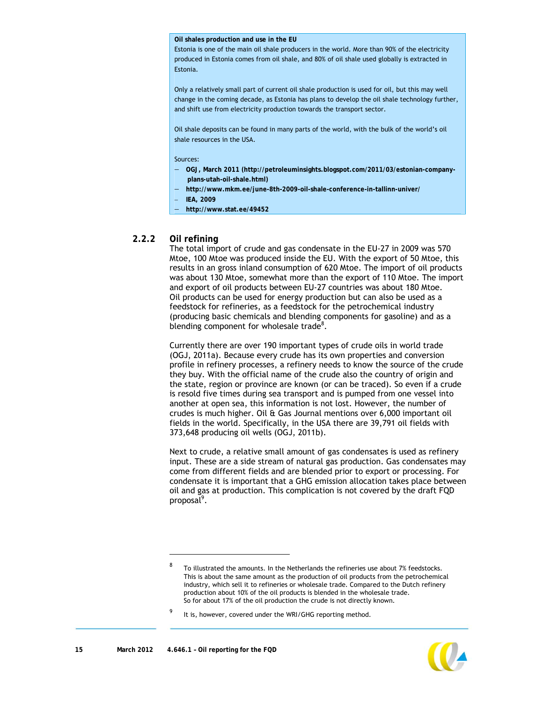**Oil shales production and use in the EU**

Estonia is one of the main oil shale producers in the world. More than 90% of the electricity produced in Estonia comes from oil shale, and 80% of oil shale used globally is extracted in Estonia.

Only a relatively small part of current oil shale production is used for oil, but this may well change in the coming decade, as Estonia has plans to develop the oil shale technology further, and shift use from electricity production towards the transport sector.

Oil shale deposits can be found in many parts of the world, with the bulk of the world's oil shale resources in the USA.

Sources:

- **OGJ, March 2011 (http://petroleuminsights.blogspot.com/2011/03/estonian-companyplans-utah-oil-shale.html)**
- **http://www.mkm.ee/june-8th-2009-oil-shale-conference-in-tallinn-univer/**
- **IEA, 2009**
- **http://www.stat.ee/49452**

#### **2.2.2 Oil refining**

The total import of crude and gas condensate in the EU-27 in 2009 was 570 Mtoe, 100 Mtoe was produced inside the EU. With the export of 50 Mtoe, this results in an gross inland consumption of 620 Mtoe. The import of oil products was about 130 Mtoe, somewhat more than the export of 110 Mtoe. The import and export of oil products between EU-27 countries was about 180 Mtoe. Oil products can be used for energy production but can also be used as a feedstock for refineries, as a feedstock for the petrochemical industry (producing basic chemicals and blending components for gasoline) and as a blending component for wholesale trade $8$ .

Currently there are over 190 important types of crude oils in world trade (OGJ, 2011a). Because every crude has its own properties and conversion profile in refinery processes, a refinery needs to know the source of the crude they buy. With the official name of the crude also the country of origin and the state, region or province are known (or can be traced). So even if a crude is resold five times during sea transport and is pumped from one vessel into another at open sea, this information is not lost. However, the number of crudes is much higher. Oil & Gas Journal mentions over 6,000 important oil fields in the world. Specifically, in the USA there are 39,791 oil fields with 373,648 producing oil wells (OGJ, 2011b).

Next to crude, a relative small amount of gas condensates is used as refinery input. These are a side stream of natural gas production. Gas condensates may come from different fields and are blended prior to export or processing. For condensate it is important that a GHG emission allocation takes place between oil and gas at production. This complication is not covered by the draft FQD proposal<sup>9</sup>.



 $\overline{a}$ 

9

<sup>8</sup> To illustrated the amounts. In the Netherlands the refineries use about 7% feedstocks. This is about the same amount as the production of oil products from the petrochemical industry, which sell it to refineries or wholesale trade. Compared to the Dutch refinery production about 10% of the oil products is blended in the wholesale trade. So for about 17% of the oil production the crude is not directly known.

It is, however, covered under the WRI/GHG reporting method.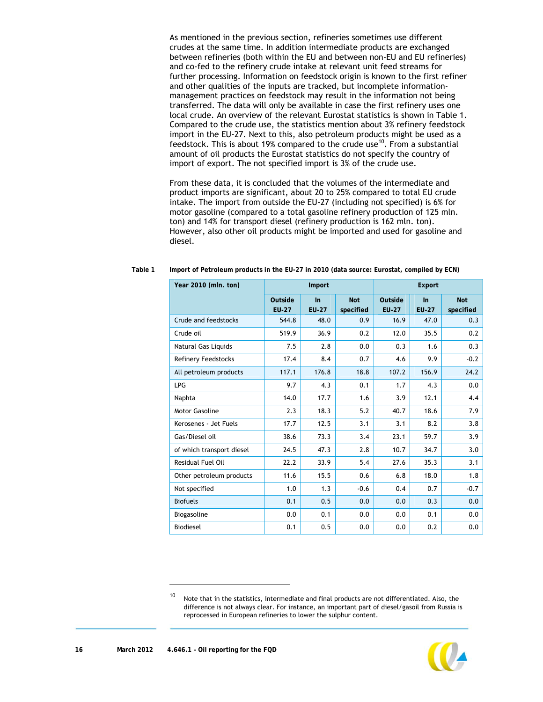As mentioned in the previous section, refineries sometimes use different crudes at the same time. In addition intermediate products are exchanged between refineries (both within the EU and between non-EU and EU refineries) and co-fed to the refinery crude intake at relevant unit feed streams for further processing. Information on feedstock origin is known to the first refiner and other qualities of the inputs are tracked, but incomplete informationmanagement practices on feedstock may result in the information not being transferred. The data will only be available in case the first refinery uses one local crude. An overview of the relevant Eurostat statistics is shown in Table 1. Compared to the crude use, the statistics mention about 3% refinery feedstock import in the EU-27. Next to this, also petroleum products might be used as a feedstock. This is about 19% compared to the crude use<sup>10</sup>. From a substantial amount of oil products the Eurostat statistics do not specify the country of import of export. The not specified import is 3% of the crude use.

From these data, it is concluded that the volumes of the intermediate and product imports are significant, about 20 to 25% compared to total EU crude intake. The import from outside the EU-27 (including not specified) is 6% for motor gasoline (compared to a total gasoline refinery production of 125 mln. ton) and 14% for transport diesel (refinery production is 162 mln. ton). However, also other oil products might be imported and used for gasoline and diesel.

| Year 2010 (mln. ton)       |                         | Import             |                         | Export                  |                    |                         |  |
|----------------------------|-------------------------|--------------------|-------------------------|-------------------------|--------------------|-------------------------|--|
|                            | Outside<br><b>EU-27</b> | In<br><b>EU-27</b> | <b>Not</b><br>specified | Outside<br><b>EU-27</b> | In<br><b>EU-27</b> | <b>Not</b><br>specified |  |
| Crude and feedstocks       | 544.8                   | 48.0               | 0.9                     | 16.9                    | 47.0               | 0.3                     |  |
| Crude oil                  | 519.9                   | 36.9               | 0.2                     | 12.0                    | 35.5               | 0.2                     |  |
| Natural Gas Liquids        | 7.5                     | 2.8                | 0.0                     | 0.3                     | 1.6                | 0.3                     |  |
| <b>Refinery Feedstocks</b> | 17.4                    | 8.4                | 0.7                     | 4.6                     | 9.9                | $-0.2$                  |  |
| All petroleum products     | 117.1                   | 176.8              | 18.8                    | 107.2                   | 156.9              | 24.2                    |  |
| <b>LPG</b>                 | 9.7                     | 4.3                | 0.1                     | 1.7                     | 4.3                | 0.0                     |  |
| Naphta                     | 14.0                    | 17.7               | 1.6                     | 3.9                     | 12.1               | 4.4                     |  |
| Motor Gasoline             | 2.3                     | 18.3               | 5.2                     | 40.7                    | 18.6               | 7.9                     |  |
| Kerosenes - Jet Fuels      | 17.7                    | 12.5               | 3.1                     | 3.1                     | 8.2                | 3.8                     |  |
| Gas/Diesel oil             | 38.6                    | 73.3               | 3.4                     | 23.1                    | 59.7               | 3.9                     |  |
| of which transport diesel  | 24.5                    | 47.3               | 2.8                     | 10.7                    | 34.7               | 3.0                     |  |
| <b>Residual Fuel Oil</b>   | 22.2                    | 33.9               | 5.4                     | 27.6                    | 35.3               | 3.1                     |  |
| Other petroleum products   | 11.6                    | 15.5               | 0.6                     | 6.8                     | 18.0               | 1.8                     |  |
| Not specified              | 1.0                     | 1.3                | $-0.6$                  | 0.4                     | 0.7                | $-0.7$                  |  |
| <b>Biofuels</b>            | 0.1                     | 0.5                | 0.0                     | 0.0                     | 0.3                | 0.0                     |  |
| Biogasoline                | 0.0                     | 0.1                | 0.0                     | 0.0                     | 0.1                | 0.0                     |  |
| <b>Biodiesel</b>           | 0.1                     | 0.5                | 0.0                     | 0.0                     | 0.2                | 0.0                     |  |

**Table 1 Import of Petroleum products in the EU-27 in 2010 (data source: Eurostat, compiled by ECN)** 

 $10$  Note that in the statistics, intermediate and final products are not differentiated. Also, the difference is not always clear. For instance, an important part of diesel/gasoil from Russia is reprocessed in European refineries to lower the sulphur content.

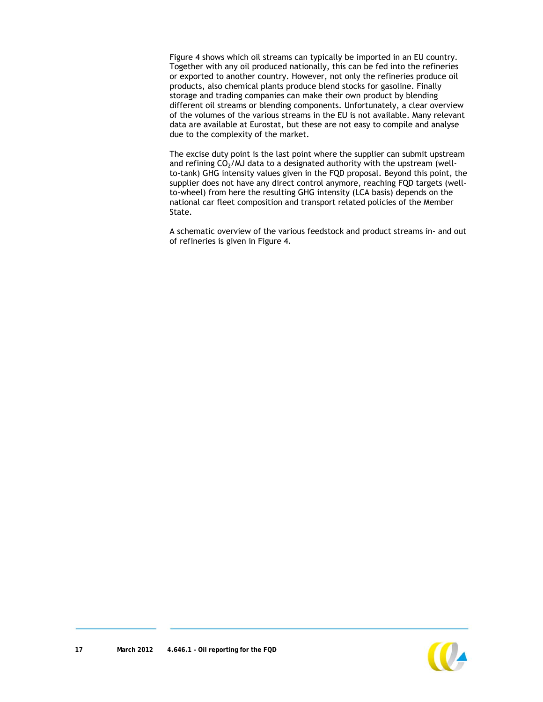Figure 4 shows which oil streams can typically be imported in an EU country. Together with any oil produced nationally, this can be fed into the refineries or exported to another country. However, not only the refineries produce oil products, also chemical plants produce blend stocks for gasoline. Finally storage and trading companies can make their own product by blending different oil streams or blending components. Unfortunately, a clear overview of the volumes of the various streams in the EU is not available. Many relevant data are available at Eurostat, but these are not easy to compile and analyse due to the complexity of the market.

The excise duty point is the last point where the supplier can submit upstream and refining  $CO<sub>2</sub>/MJ$  data to a designated authority with the upstream (wellto-tank) GHG intensity values given in the FQD proposal. Beyond this point, the supplier does not have any direct control anymore, reaching FQD targets (wellto-wheel) from here the resulting GHG intensity (LCA basis) depends on the national car fleet composition and transport related policies of the Member State.

A schematic overview of the various feedstock and product streams in- and out of refineries is given in Figure 4.

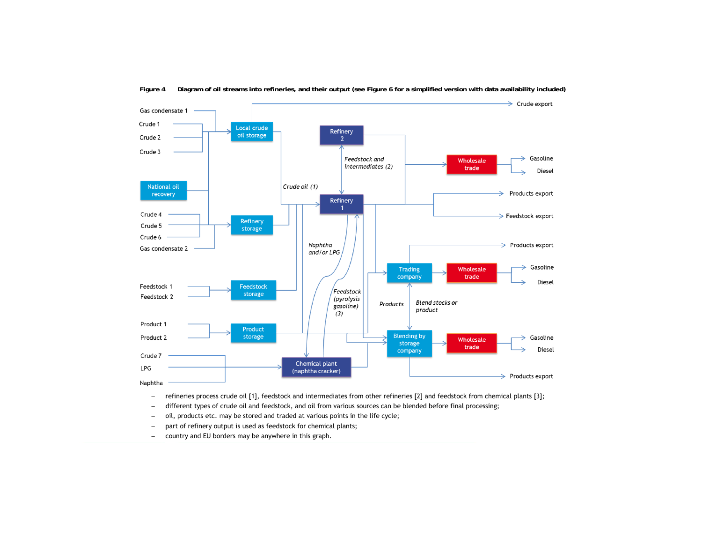

**Figure 4 Diagram of oil streams into refineries, and their output (see Figure 6 for a simplified version with data availability included)** 

 $\overline{\phantom{0}}$ part of refinery output is used as feedstock for chemical plants;

 $\equiv$ country and EU borders may be anywhere in this graph.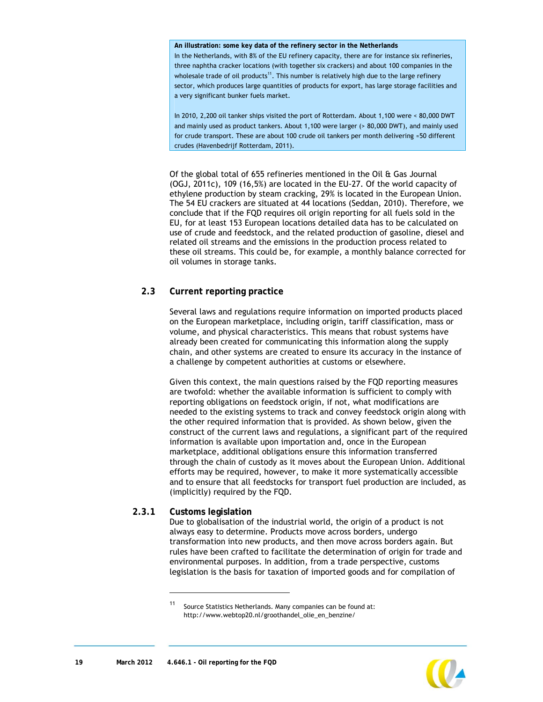**An illustration: some key data of the refinery sector in the Netherlands**  In the Netherlands, with 8% of the EU refinery capacity, there are for instance six refineries, three naphtha cracker locations (with together six crackers) and about 100 companies in the wholesale trade of oil products<sup>11</sup>. This number is relatively high due to the large refinery sector, which produces large quantities of products for export, has large storage facilities and a very significant bunker fuels market.

In 2010, 2,200 oil tanker ships visited the port of Rotterdam. About 1,100 were < 80,000 DWT and mainly used as product tankers. About 1,100 were larger (> 80,000 DWT), and mainly used for crude transport. These are about 100 crude oil tankers per month delivering ≈50 different crudes (Havenbedrijf Rotterdam, 2011).

Of the global total of 655 refineries mentioned in the Oil & Gas Journal (OGJ, 2011c), 109 (16,5%) are located in the EU-27. Of the world capacity of ethylene production by steam cracking, 29% is located in the European Union. The 54 EU crackers are situated at 44 locations (Seddan, 2010). Therefore, we conclude that if the FQD requires oil origin reporting for all fuels sold in the EU, for at least 153 European locations detailed data has to be calculated on use of crude and feedstock, and the related production of gasoline, diesel and related oil streams and the emissions in the production process related to these oil streams. This could be, for example, a monthly balance corrected for oil volumes in storage tanks.

#### **2.3 Current reporting practice**

Several laws and regulations require information on imported products placed on the European marketplace, including origin, tariff classification, mass or volume, and physical characteristics. This means that robust systems have already been created for communicating this information along the supply chain, and other systems are created to ensure its accuracy in the instance of a challenge by competent authorities at customs or elsewhere.

Given this context, the main questions raised by the FQD reporting measures are twofold: whether the available information is sufficient to comply with reporting obligations on feedstock origin, if not, what modifications are needed to the existing systems to track and convey feedstock origin along with the other required information that is provided. As shown below, given the construct of the current laws and regulations, a significant part of the required information is available upon importation and, once in the European marketplace, additional obligations ensure this information transferred through the chain of custody as it moves about the European Union. Additional efforts may be required, however, to make it more systematically accessible and to ensure that all feedstocks for transport fuel production are included, as (implicitly) required by the FQD.

#### **2.3.1 Customs legislation**

Due to globalisation of the industrial world, the origin of a product is not always easy to determine. Products move across borders, undergo transformation into new products, and then move across borders again. But rules have been crafted to facilitate the determination of origin for trade and environmental purposes. In addition, from a trade perspective, customs legislation is the basis for taxation of imported goods and for compilation of



l

<sup>11</sup> Source Statistics Netherlands. Many companies can be found at: http://www.webtop20.nl/groothandel\_olie\_en\_benzine/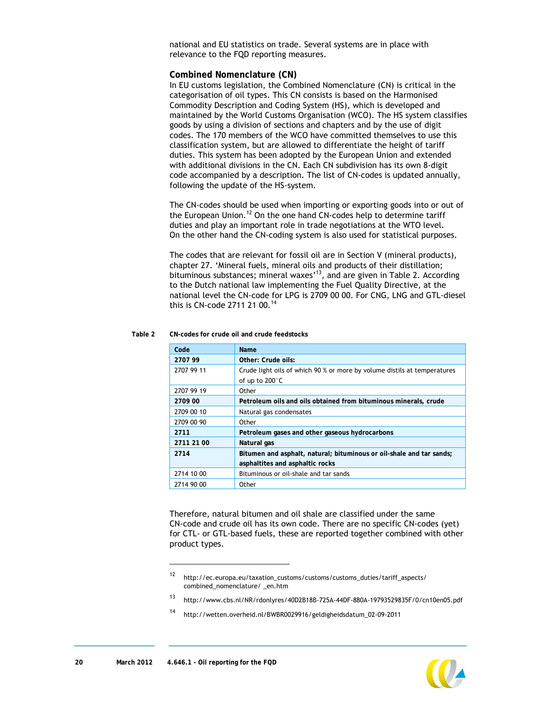national and EU statistics on trade. Several systems are in place with relevance to the FQD reporting measures.

#### **Combined Nomenclature (CN)**

In EU customs legislation, the Combined Nomenclature (CN) is critical in the categorisation of oil types. This CN consists is based on the Harmonised Commodity Description and Coding System (HS), which is developed and maintained by the World Customs Organisation (WCO). The HS system classifies goods by using a division of sections and chapters and by the use of digit codes. The 170 members of the WCO have committed themselves to use this classification system, but are allowed to differentiate the height of tariff duties. This system has been adopted by the European Union and extended with additional divisions in the CN. Each CN subdivision has its own 8-digit code accompanied by a description. The list of CN-codes is updated annually, following the update of the HS-system.

The CN-codes should be used when importing or exporting goods into or out of the European Union.<sup>12</sup> On the one hand CN-codes help to determine tariff duties and play an important role in trade negotiations at the WTO level. On the other hand the CN-coding system is also used for statistical purposes.

The codes that are relevant for fossil oil are in Section V (mineral products), chapter 27. 'Mineral fuels, mineral oils and products of their distillation; bituminous substances; mineral waxes<sup>13</sup>, and are given in Table 2. According to the Dutch national law implementing the Fuel Quality Directive, at the national level the CN-code for LPG is 2709 00 00. For CNG, LNG and GTL-diesel this is CN-code 2711 21 00.<sup>14</sup>

| Code       | <b>Name</b>                                                                                             |
|------------|---------------------------------------------------------------------------------------------------------|
| 270799     | Other: Crude oils:                                                                                      |
| 2707 99 11 | Crude light oils of which 90 % or more by volume distils at temperatures<br>of up to 200°C              |
| 2707 99 19 | Other                                                                                                   |
| 2709 00    | Petroleum oils and oils obtained from bituminous minerals, crude                                        |
| 2709 00 10 | Natural gas condensates                                                                                 |
| 2709 00 90 | Other                                                                                                   |
| 2711       | Petroleum gases and other gaseous hydrocarbons                                                          |
| 2711 21 00 | Natural gas                                                                                             |
| 2714       | Bitumen and asphalt, natural; bituminous or oil-shale and tar sands;<br>asphaltites and asphaltic rocks |
| 2714 10 00 | Bituminous or oil-shale and tar sands                                                                   |
| 2714 90 00 | Other                                                                                                   |

#### **Table 2 CN-codes for crude oil and crude feedstocks**

Therefore, natural bitumen and oil shale are classified under the same CN-code and crude oil has its own code. There are no specific CN-codes (yet) for CTL- or GTL-based fuels, these are reported together combined with other product types.

14 http://wetten.overheid.nl/BWBR0029916/geldigheidsdatum\_02-09-2011



<sup>12</sup> http://ec.europa.eu/taxation\_customs/customs/customs\_duties/tariff\_aspects/ combined\_nomenclature/ \_en.htm

<sup>13</sup> http://www.cbs.nl/NR/rdonlyres/40D2B18B-725A-44DF-880A-19793529835F/0/cn10en05.pdf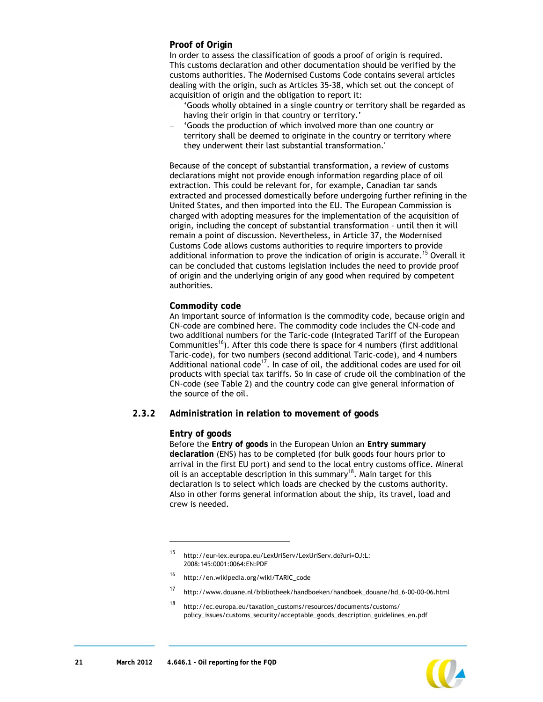#### **Proof of Origin**

In order to assess the classification of goods a proof of origin is required. This customs declaration and other documentation should be verified by the customs authorities. The Modernised Customs Code contains several articles dealing with the origin, such as Articles 35-38, which set out the concept of acquisition of origin and the obligation to report it:

- 'Goods wholly obtained in a single country or territory shall be regarded as having their origin in that country or territory.'
- 'Goods the production of which involved more than one country or territory shall be deemed to originate in the country or territory where they underwent their last substantial transformation.'

Because of the concept of substantial transformation, a review of customs declarations might not provide enough information regarding place of oil extraction. This could be relevant for, for example, Canadian tar sands extracted and processed domestically before undergoing further refining in the United States, and then imported into the EU. The European Commission is charged with adopting measures for the implementation of the acquisition of origin, including the concept of substantial transformation – until then it will remain a point of discussion. Nevertheless, in Article 37, the Modernised Customs Code allows customs authorities to require importers to provide additional information to prove the indication of origin is accurate.<sup>15</sup> Overall it can be concluded that customs legislation includes the need to provide proof of origin and the underlying origin of any good when required by competent authorities.

#### **Commodity code**

An important source of information is the commodity code, because origin and CN-code are combined here. The commodity code includes the CN-code and two additional numbers for the Taric-code (Integrated Tariff of the European Communities<sup>16</sup>). After this code there is space for 4 numbers (first additional Taric-code), for two numbers (second additional Taric-code), and 4 numbers Additional national code<sup>17</sup>. In case of oil, the additional codes are used for oil products with special tax tariffs. So in case of crude oil the combination of the CN-code (see Table 2) and the country code can give general information of the source of the oil.

#### **2.3.2 Administration in relation to movement of goods**

#### **Entry of goods**

Before the **Entry of goods** in the European Union an **Entry summary declaration** (ENS) has to be completed (for bulk goods four hours prior to arrival in the first EU port) and send to the local entry customs office. Mineral oil is an acceptable description in this summary<sup>18</sup>. Main target for this declaration is to select which loads are checked by the customs authority. Also in other forms general information about the ship, its travel, load and crew is needed.

<sup>18</sup> http://ec.europa.eu/taxation\_customs/resources/documents/customs/ policy\_issues/customs\_security/acceptable\_goods\_description\_guidelines\_en.pdf



l

<sup>15</sup> http://eur-lex.europa.eu/LexUriServ/LexUriServ.do?uri=OJ:L: 2008:145:0001:0064:EN:PDF

<sup>16</sup> http://en.wikipedia.org/wiki/TARIC\_code

<sup>17</sup> http://www.douane.nl/bibliotheek/handboeken/handboek\_douane/hd\_6-00-00-06.html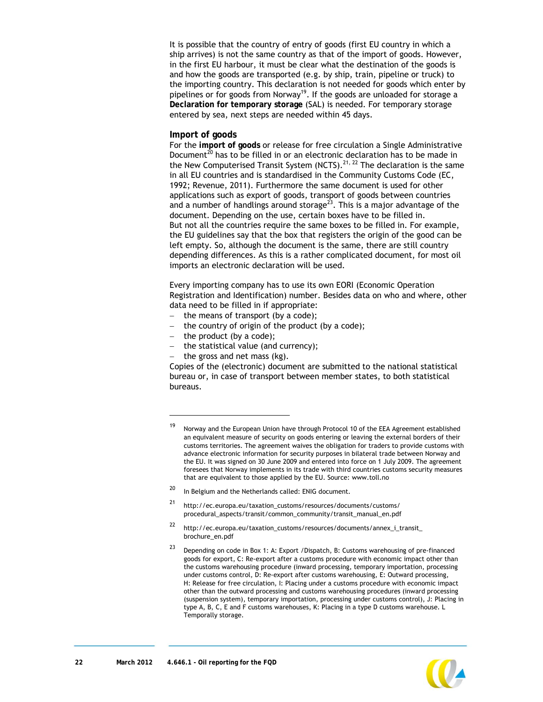It is possible that the country of entry of goods (first EU country in which a ship arrives) is not the same country as that of the import of goods. However, in the first EU harbour, it must be clear what the destination of the goods is and how the goods are transported (e.g. by ship, train, pipeline or truck) to the importing country. This declaration is not needed for goods which enter by pipelines or for goods from Norway<sup>19</sup>. If the goods are unloaded for storage a **Declaration for temporary storage** (SAL) is needed. For temporary storage entered by sea, next steps are needed within 45 days.

#### **Import of goods**

For the **import of goods** or release for free circulation a Single Administrative Document<sup>20</sup> has to be filled in or an electronic declaration has to be made in the New Computerised Transit System (NCTS).<sup>21, 22</sup> The declaration is the same in all EU countries and is standardised in the Community Customs Code (EC, 1992; Revenue, 2011). Furthermore the same document is used for other applications such as export of goods, transport of goods between countries and a number of handlings around storage<sup>23</sup>. This is a major advantage of the document. Depending on the use, certain boxes have to be filled in. But not all the countries require the same boxes to be filled in. For example, the EU guidelines say that the box that registers the origin of the good can be left empty. So, although the document is the same, there are still country depending differences. As this is a rather complicated document, for most oil imports an electronic declaration will be used.

Every importing company has to use its own EORI (Economic Operation Registration and Identification) number. Besides data on who and where, other data need to be filled in if appropriate:

- $-$  the means of transport (by a code);
- $-$  the country of origin of the product (by a code);
- the product (by a code);
- the statistical value (and currency);
- the gross and net mass (kg).

Copies of the (electronic) document are submitted to the national statistical bureau or, in case of transport between member states, to both statistical bureaus.

- <sup>20</sup> In Belgium and the Netherlands called: ENIG document.
- 21 http://ec.europa.eu/taxation\_customs/resources/documents/customs/ procedural\_aspects/transit/common\_community/transit\_manual\_en.pdf
- 22 http://ec.europa.eu/taxation\_customs/resources/documents/annex\_i\_transit\_ brochure\_en.pdf
- 23 Depending on code in Box 1: A: Export /Dispatch, B: Customs warehousing of pre-financed goods for export, C: Re-export after a customs procedure with economic impact other than the customs warehousing procedure (inward processing, temporary importation, processing under customs control, D: Re-export after customs warehousing, E: Outward processing, H: Release for free circulation, I: Placing under a customs procedure with economic impact other than the outward processing and customs warehousing procedures (inward processing (suspension system), temporary importation, processing under customs control), J: Placing in type A, B, C, E and F customs warehouses, K: Placing in a type D customs warehouse. L Temporally storage.



<sup>&</sup>lt;sup>19</sup> Norway and the European Union have through Protocol 10 of the EEA Agreement established an equivalent measure of security on goods entering or leaving the external borders of their customs territories. The agreement waives the obligation for traders to provide customs with advance electronic information for security purposes in bilateral trade between Norway and the EU. It was signed on 30 June 2009 and entered into force on 1 July 2009. The agreement foresees that Norway implements in its trade with third countries customs security measures that are equivalent to those applied by the EU. Source: www.toll.no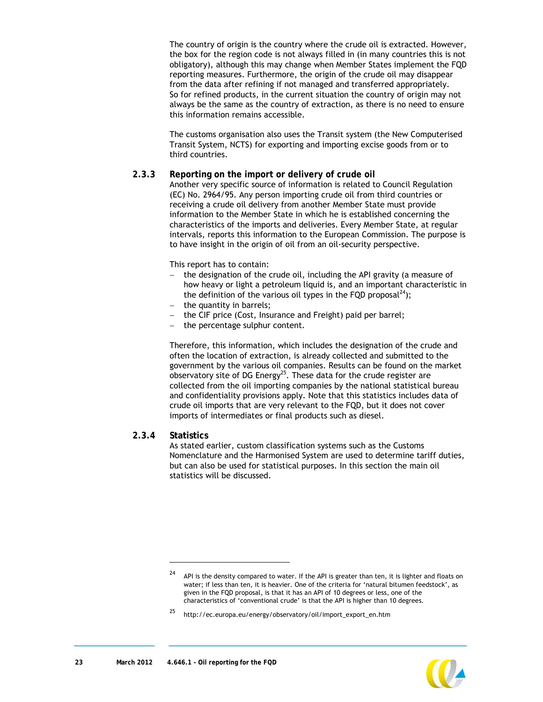The country of origin is the country where the crude oil is extracted. However, the box for the region code is not always filled in (in many countries this is not obligatory), although this may change when Member States implement the FQD reporting measures. Furthermore, the origin of the crude oil may disappear from the data after refining if not managed and transferred appropriately. So for refined products, in the current situation the country of origin may not always be the same as the country of extraction, as there is no need to ensure this information remains accessible.

The customs organisation also uses the Transit system (the New Computerised Transit System, NCTS) for exporting and importing excise goods from or to third countries.

#### **2.3.3 Reporting on the import or delivery of crude oil**

Another very specific source of information is related to Council Regulation (EC) No. 2964/95. Any person importing crude oil from third countries or receiving a crude oil delivery from another Member State must provide information to the Member State in which he is established concerning the characteristics of the imports and deliveries. Every Member State, at regular intervals, reports this information to the European Commission. The purpose is to have insight in the origin of oil from an oil-security perspective.

This report has to contain:

- $-$  the designation of the crude oil, including the API gravity (a measure of how heavy or light a petroleum liquid is, and an important characteristic in the definition of the various oil types in the FQD proposal<sup>24</sup>);
- $-$  the quantity in barrels:
- the CIF price (Cost, Insurance and Freight) paid per barrel;
- the percentage sulphur content.

Therefore, this information, which includes the designation of the crude and often the location of extraction, is already collected and submitted to the government by the various oil companies. Results can be found on the market observatory site of DG Energy<sup>25</sup>. These data for the crude register are collected from the oil importing companies by the national statistical bureau and confidentiality provisions apply. Note that this statistics includes data of crude oil imports that are very relevant to the FQD, but it does not cover imports of intermediates or final products such as diesel.

#### **2.3.4 Statistics**

As stated earlier, custom classification systems such as the Customs Nomenclature and the Harmonised System are used to determine tariff duties, but can also be used for statistical purposes. In this section the main oil statistics will be discussed.



<sup>&</sup>lt;sup>24</sup> API is the density compared to water. If the API is greater than ten, it is lighter and floats on water; if less than ten, it is heavier. One of the criteria for 'natural bitumen feedstock', as given in the FQD proposal, is that it has an API of 10 degrees or less, one of the characteristics of 'conventional crude' is that the API is higher than 10 degrees.

<sup>25</sup> http://ec.europa.eu/energy/observatory/oil/import\_export\_en.htm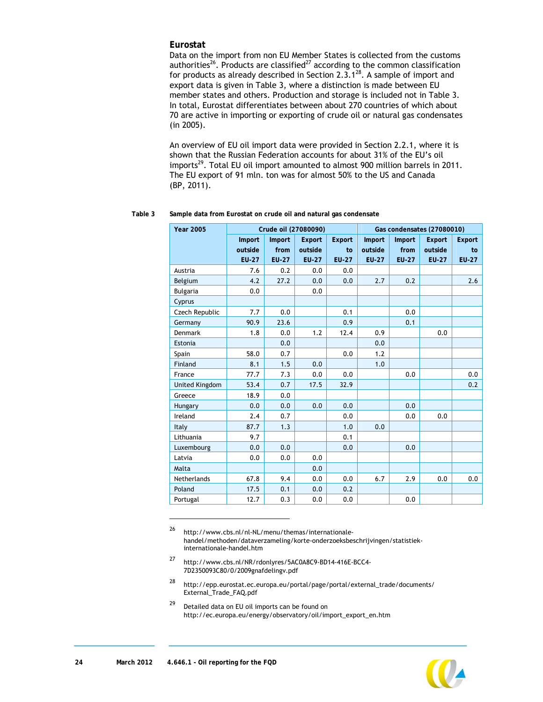#### **Eurostat**

Data on the import from non EU Member States is collected from the customs authorities<sup>26</sup>. Products are classified<sup>27</sup> according to the common classification for products as already described in Section 2.3.1<sup>28</sup>. A sample of import and export data is given in Table 3, where a distinction is made between EU member states and others. Production and storage is included not in Table 3. In total, Eurostat differentiates between about 270 countries of which about 70 are active in importing or exporting of crude oil or natural gas condensates (in 2005).

An overview of EU oil import data were provided in Section 2.2.1, where it is shown that the Russian Federation accounts for about 31% of the EU's oil imports<sup>29</sup>. Total EU oil import amounted to almost 900 million barrels in 2011. The EU export of 91 mln. ton was for almost 50% to the US and Canada (BP, 2011).

| <b>Year 2005</b>      | Crude oil (27080090) |              |              |              | Gas condensates (27080010) |              |              |              |
|-----------------------|----------------------|--------------|--------------|--------------|----------------------------|--------------|--------------|--------------|
|                       | Import               | Import       | Export       | Export       | Import                     | Import       | Export       | Export       |
|                       | outside              | from         | outside      | to           | outside                    | from         | outside      | to           |
|                       | <b>EU-27</b>         | <b>EU-27</b> | <b>EU-27</b> | <b>EU-27</b> | <b>EU-27</b>               | <b>EU-27</b> | <b>EU-27</b> | <b>EU-27</b> |
| Austria               | 7.6                  | 0.2          | 0.0          | 0.0          |                            |              |              |              |
| Belgium               | 4.2                  | 27.2         | 0.0          | 0.0          | 2.7                        | 0.2          |              | 2.6          |
| <b>Bulgaria</b>       | 0.0                  |              | 0.0          |              |                            |              |              |              |
| Cyprus                |                      |              |              |              |                            |              |              |              |
| Czech Republic        | 7.7                  | 0.0          |              | 0.1          |                            | 0.0          |              |              |
| Germany               | 90.9                 | 23.6         |              | 0.9          |                            | 0.1          |              |              |
| <b>Denmark</b>        | 1.8                  | 0.0          | 1.2          | 12.4         | 0.9                        |              | 0.0          |              |
| Estonia               |                      | 0.0          |              |              | 0.0                        |              |              |              |
| Spain                 | 58.0                 | 0.7          |              | 0.0          | 1.2                        |              |              |              |
| Finland               | 8.1                  | 1.5          | 0.0          |              | 1.0                        |              |              |              |
| France                | 77.7                 | 7.3          | 0.0          | 0.0          |                            | 0.0          |              | 0.0          |
| <b>United Kingdom</b> | 53.4                 | 0.7          | 17.5         | 32.9         |                            |              |              | 0.2          |
| Greece                | 18.9                 | 0.0          |              |              |                            |              |              |              |
| Hungary               | 0.0                  | 0.0          | 0.0          | 0.0          |                            | 0.0          |              |              |
| Ireland               | 2.4                  | 0.7          |              | 0.0          |                            | 0.0          | 0.0          |              |
| Italy                 | 87.7                 | 1.3          |              | 1.0          | 0.0                        |              |              |              |
| Lithuania             | 9.7                  |              |              | 0.1          |                            |              |              |              |
| Luxembourg            | 0.0                  | 0.0          |              | 0.0          |                            | 0.0          |              |              |
| Latvia                | 0.0                  | 0.0          | 0.0          |              |                            |              |              |              |
| Malta                 |                      |              | 0.0          |              |                            |              |              |              |
| Netherlands           | 67.8                 | 9.4          | 0.0          | 0.0          | 6.7                        | 2.9          | 0.0          | 0.0          |
| Poland                | 17.5                 | 0.1          | 0.0          | 0.2          |                            |              |              |              |
| Portugal              | 12.7                 | 0.3          | 0.0          | 0.0          |                            | 0.0          |              |              |

#### **Table 3 Sample data from Eurostat on crude oil and natural gas condensate**



<sup>26</sup> http://www.cbs.nl/nl-NL/menu/themas/internationalehandel/methoden/dataverzameling/korte-onderzoeksbeschrijvingen/statistiekinternationale-handel.htm

<sup>27</sup> http://www.cbs.nl/NR/rdonlyres/5AC0A8C9-BD14-416E-BCC4- 7D2350093C80/0/2009gnafdelingv.pdf

<sup>28</sup> http://epp.eurostat.ec.europa.eu/portal/page/portal/external\_trade/documents/ External\_Trade\_FAQ.pdf

 $29$  Detailed data on EU oil imports can be found on http://ec.europa.eu/energy/observatory/oil/import\_export\_en.htm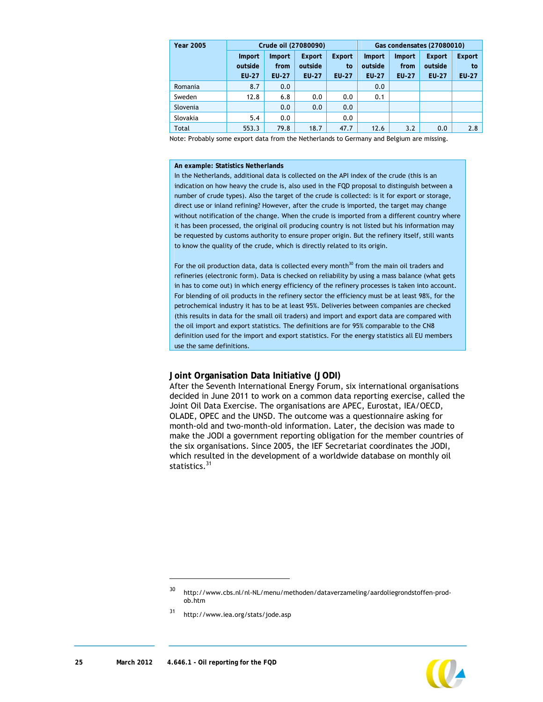| <b>Year 2005</b> | Crude oil (27080090) |              |              | Gas condensates (27080010) |              |               |               |              |
|------------------|----------------------|--------------|--------------|----------------------------|--------------|---------------|---------------|--------------|
|                  | Import               | Import       | Export       | Export                     | Import       | <b>Import</b> | <b>Export</b> | Export       |
|                  | outside              | from         | outside      | to                         | outside      | from          | outside       | to           |
|                  | <b>EU-27</b>         | <b>EU-27</b> | <b>EU-27</b> | <b>EU-27</b>               | <b>EU-27</b> | <b>EU-27</b>  | <b>EU-27</b>  | <b>EU-27</b> |
| Romania          | 8.7                  | 0.0          |              |                            | 0.0          |               |               |              |
| Sweden           | 12.8                 | 6.8          | 0.0          | 0.0                        | 0.1          |               |               |              |
| Slovenia         |                      | 0.0          | 0.0          | 0.0                        |              |               |               |              |
| Slovakia         | 5.4                  | 0.0          |              | 0.0                        |              |               |               |              |
| Total            | 553.3                | 79.8         | 18.7         | 47.7                       | 12.6         | 3.2           | 0.0           | 2.8          |

Note: Probably some export data from the Netherlands to Germany and Belgium are missing.

#### **An example: Statistics Netherlands**

In the Netherlands, additional data is collected on the API index of the crude (this is an indication on how heavy the crude is, also used in the FQD proposal to distinguish between a number of crude types). Also the target of the crude is collected: is it for export or storage, direct use or inland refining? However, after the crude is imported, the target may change without notification of the change. When the crude is imported from a different country where it has been processed, the original oil producing country is not listed but his information may be requested by customs authority to ensure proper origin. But the refinery itself, still wants to know the quality of the crude, which is directly related to its origin.

For the oil production data, data is collected every month $30$  from the main oil traders and refineries (electronic form). Data is checked on reliability by using a mass balance (what gets in has to come out) in which energy efficiency of the refinery processes is taken into account. For blending of oil products in the refinery sector the efficiency must be at least 98%, for the petrochemical industry it has to be at least 95%. Deliveries between companies are checked (this results in data for the small oil traders) and import and export data are compared with the oil import and export statistics. The definitions are for 95% comparable to the CN8 definition used for the import and export statistics. For the energy statistics all EU members use the same definitions.

#### **Joint Organisation Data Initiative (JODI)**

After the Seventh International Energy Forum, six international organisations decided in June 2011 to work on a common data reporting exercise, called the Joint Oil Data Exercise. The organisations are APEC, Eurostat, IEA/OECD, OLADE, OPEC and the UNSD. The outcome was a questionnaire asking for month-old and two-month-old information. Later, the decision was made to make the JODI a government reporting obligation for the member countries of the six organisations. Since 2005, the IEF Secretariat coordinates the JODI, which resulted in the development of a worldwide database on monthly oil statistics.<sup>31</sup>



<sup>30</sup> http://www.cbs.nl/nl-NL/menu/methoden/dataverzameling/aardoliegrondstoffen-prodob.htm

<sup>31</sup> http://www.iea.org/stats/jode.asp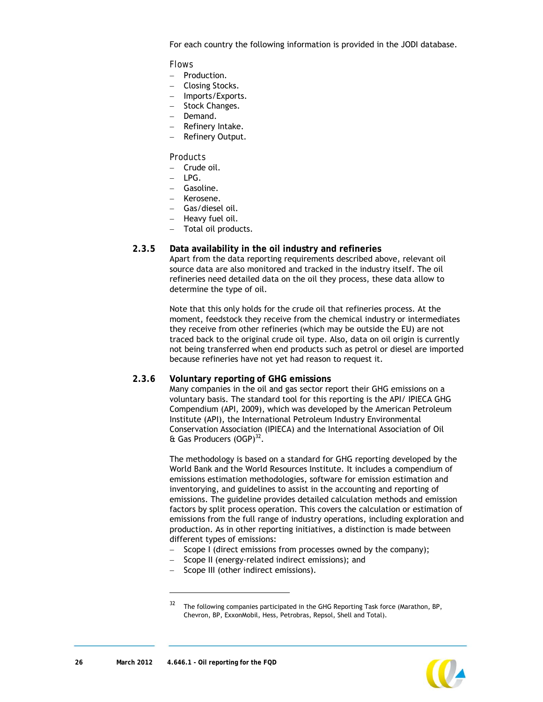For each country the following information is provided in the JODI database.

#### *Flows*

- Production.
- Closing Stocks.
- Imports/Exports.
- Stock Changes.
- Demand.
- Refinery Intake.
- Refinery Output.

#### *Products*

- $-$  Crude oil.
- LPG.
- Gasoline.
- Kerosene.
- Gas/diesel oil.
- Heavy fuel oil.
- Total oil products.

#### **2.3.5 Data availability in the oil industry and refineries**

Apart from the data reporting requirements described above, relevant oil source data are also monitored and tracked in the industry itself. The oil refineries need detailed data on the oil they process, these data allow to determine the type of oil.

Note that this only holds for the crude oil that refineries process. At the moment, feedstock they receive from the chemical industry or intermediates they receive from other refineries (which may be outside the EU) are not traced back to the original crude oil type. Also, data on oil origin is currently not being transferred when end products such as petrol or diesel are imported because refineries have not yet had reason to request it.

#### **2.3.6 Voluntary reporting of GHG emissions**

Many companies in the oil and gas sector report their GHG emissions on a voluntary basis. The standard tool for this reporting is the API/ IPIECA GHG Compendium (API, 2009), which was developed by the American Petroleum Institute (API), the International Petroleum Industry Environmental Conservation Association (IPIECA) and the International Association of Oil  $&$  Gas Producers (OGP)<sup>32</sup>.

The methodology is based on a standard for GHG reporting developed by the World Bank and the World Resources Institute. It includes a compendium of emissions estimation methodologies, software for emission estimation and inventorying, and guidelines to assist in the accounting and reporting of emissions. The guideline provides detailed calculation methods and emission factors by split process operation. This covers the calculation or estimation of emissions from the full range of industry operations, including exploration and production. As in other reporting initiatives, a distinction is made between different types of emissions:

- $-$  Scope I (direct emissions from processes owned by the company);
- Scope II (energy-related indirect emissions); and
- Scope III (other indirect emissions).

<sup>&</sup>lt;sup>32</sup> The following companies participated in the GHG Reporting Task force (Marathon, BP, Chevron, BP, ExxonMobil, Hess, Petrobras, Repsol, Shell and Total).



l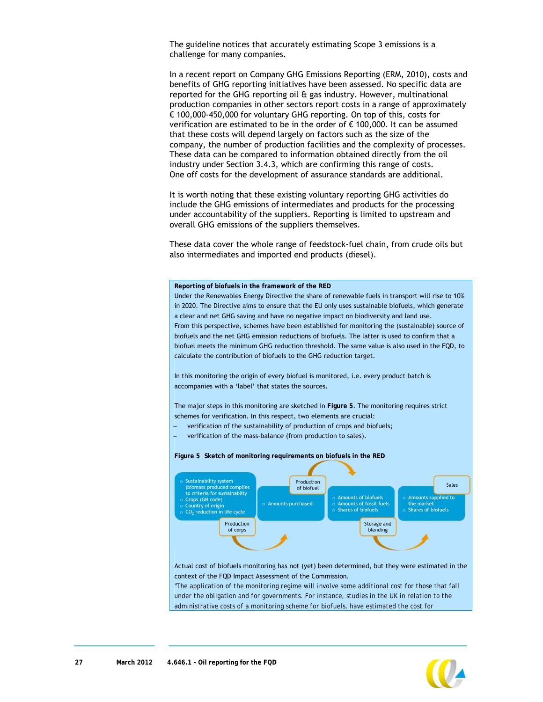The guideline notices that accurately estimating Scope 3 emissions is a challenge for many companies.

In a recent report on Company GHG Emissions Reporting (ERM, 2010), costs and benefits of GHG reporting initiatives have been assessed. No specific data are reported for the GHG reporting oil & gas industry. However, multinational production companies in other sectors report costs in a range of approximately € 100,000-450,000 for voluntary GHG reporting. On top of this, costs for verification are estimated to be in the order of  $\epsilon$  100,000. It can be assumed that these costs will depend largely on factors such as the size of the company, the number of production facilities and the complexity of processes. These data can be compared to information obtained directly from the oil industry under Section 3.4.3, which are confirming this range of costs. One off costs for the development of assurance standards are additional.

It is worth noting that these existing voluntary reporting GHG activities do include the GHG emissions of intermediates and products for the processing under accountability of the suppliers. Reporting is limited to upstream and overall GHG emissions of the suppliers themselves.

These data cover the whole range of feedstock-fuel chain, from crude oils but also intermediates and imported end products (diesel).



*under the obligation and for governments. For instance, studies in the UK in relation to the administrative costs of a monitoring scheme for biofuels, have estimated the cost for* 

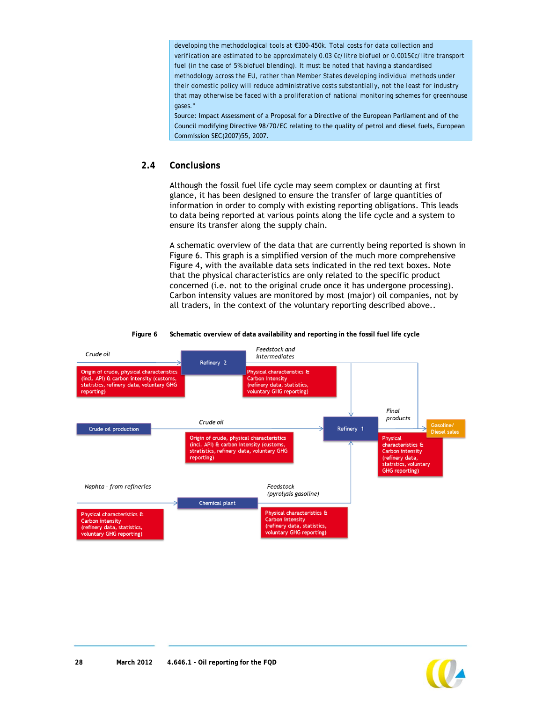*developing the methodological tools at €300-450k. Total costs for data collection and verification are estimated to be approximately 0.03 €c/litre biofuel or 0.0015€c/litre transport fuel (in the case of 5% biofuel blending). It must be noted that having a standardised methodology across the EU, rather than Member States developing individual methods under their domestic policy will reduce administrative costs substantially, not the least for industry that may otherwise be faced with a proliferation of national monitoring schemes for greenhouse gases."* 

Source: Impact Assessment of a Proposal for a Directive of the European Parliament and of the Council modifying Directive 98/70/EC relating to the quality of petrol and diesel fuels, European Commission SEC(2007)55, 2007.

#### **2.4 Conclusions**

Although the fossil fuel life cycle may seem complex or daunting at first glance, it has been designed to ensure the transfer of large quantities of information in order to comply with existing reporting obligations. This leads to data being reported at various points along the life cycle and a system to ensure its transfer along the supply chain.

A schematic overview of the data that are currently being reported is shown in Figure 6. This graph is a simplified version of the much more comprehensive Figure 4, with the available data sets indicated in the red text boxes. Note that the physical characteristics are only related to the specific product concerned (i.e. not to the original crude once it has undergone processing). Carbon intensity values are monitored by most (major) oil companies, not by all traders, in the context of the voluntary reporting described above..



**Figure 6 Schematic overview of data availability and reporting in the fossil fuel life cycle** 

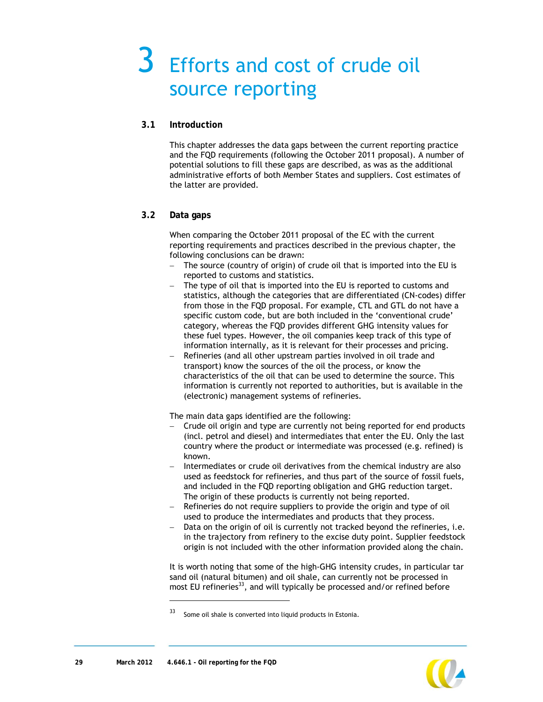## 3 Efforts and cost of crude oil source reporting

#### **3.1 Introduction**

This chapter addresses the data gaps between the current reporting practice and the FQD requirements (following the October 2011 proposal). A number of potential solutions to fill these gaps are described, as was as the additional administrative efforts of both Member States and suppliers. Cost estimates of the latter are provided.

#### **3.2 Data gaps**

When comparing the October 2011 proposal of the EC with the current reporting requirements and practices described in the previous chapter, the following conclusions can be drawn:

- The source (country of origin) of crude oil that is imported into the EU is reported to customs and statistics.
- The type of oil that is imported into the EU is reported to customs and statistics, although the categories that are differentiated (CN-codes) differ from those in the FQD proposal. For example, CTL and GTL do not have a specific custom code, but are both included in the 'conventional crude' category, whereas the FQD provides different GHG intensity values for these fuel types. However, the oil companies keep track of this type of information internally, as it is relevant for their processes and pricing.
- Refineries (and all other upstream parties involved in oil trade and transport) know the sources of the oil the process, or know the characteristics of the oil that can be used to determine the source. This information is currently not reported to authorities, but is available in the (electronic) management systems of refineries.

The main data gaps identified are the following:

- Crude oil origin and type are currently not being reported for end products (incl. petrol and diesel) and intermediates that enter the EU. Only the last country where the product or intermediate was processed (e.g. refined) is known.
- Intermediates or crude oil derivatives from the chemical industry are also used as feedstock for refineries, and thus part of the source of fossil fuels, and included in the FQD reporting obligation and GHG reduction target. The origin of these products is currently not being reported.
- Refineries do not require suppliers to provide the origin and type of oil used to produce the intermediates and products that they process.
- Data on the origin of oil is currently not tracked beyond the refineries, i.e. in the trajectory from refinery to the excise duty point. Supplier feedstock origin is not included with the other information provided along the chain.

It is worth noting that some of the high-GHG intensity crudes, in particular tar sand oil (natural bitumen) and oil shale, can currently not be processed in most EU refineries<sup>33</sup>, and will typically be processed and/or refined before



l

<sup>33</sup> Some oil shale is converted into liquid products in Estonia.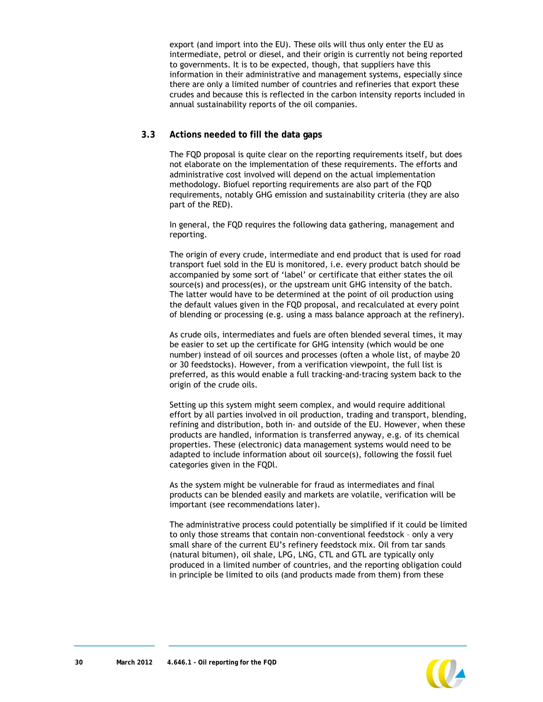export (and import into the EU). These oils will thus only enter the EU as intermediate, petrol or diesel, and their origin is currently not being reported to governments. It is to be expected, though, that suppliers have this information in their administrative and management systems, especially since there are only a limited number of countries and refineries that export these crudes and because this is reflected in the carbon intensity reports included in annual sustainability reports of the oil companies.

#### **3.3 Actions needed to fill the data gaps**

The FQD proposal is quite clear on the reporting requirements itself, but does not elaborate on the implementation of these requirements. The efforts and administrative cost involved will depend on the actual implementation methodology. Biofuel reporting requirements are also part of the FQD requirements, notably GHG emission and sustainability criteria (they are also part of the RED).

In general, the FQD requires the following data gathering, management and reporting.

The origin of every crude, intermediate and end product that is used for road transport fuel sold in the EU is monitored, i.e. every product batch should be accompanied by some sort of 'label' or certificate that either states the oil source(s) and process(es), or the upstream unit GHG intensity of the batch. The latter would have to be determined at the point of oil production using the default values given in the FQD proposal, and recalculated at every point of blending or processing (e.g. using a mass balance approach at the refinery).

As crude oils, intermediates and fuels are often blended several times, it may be easier to set up the certificate for GHG intensity (which would be one number) instead of oil sources and processes (often a whole list, of maybe 20 or 30 feedstocks). However, from a verification viewpoint, the full list is preferred, as this would enable a full tracking-and-tracing system back to the origin of the crude oils.

Setting up this system might seem complex, and would require additional effort by all parties involved in oil production, trading and transport, blending, refining and distribution, both in- and outside of the EU. However, when these products are handled, information is transferred anyway, e.g. of its chemical properties. These (electronic) data management systems would need to be adapted to include information about oil source(s), following the fossil fuel categories given in the FQDl.

As the system might be vulnerable for fraud as intermediates and final products can be blended easily and markets are volatile, verification will be important (see recommendations later).

The administrative process could potentially be simplified if it could be limited to only those streams that contain non-conventional feedstock – only a very small share of the current EU's refinery feedstock mix. Oil from tar sands (natural bitumen), oil shale, LPG, LNG, CTL and GTL are typically only produced in a limited number of countries, and the reporting obligation could in principle be limited to oils (and products made from them) from these

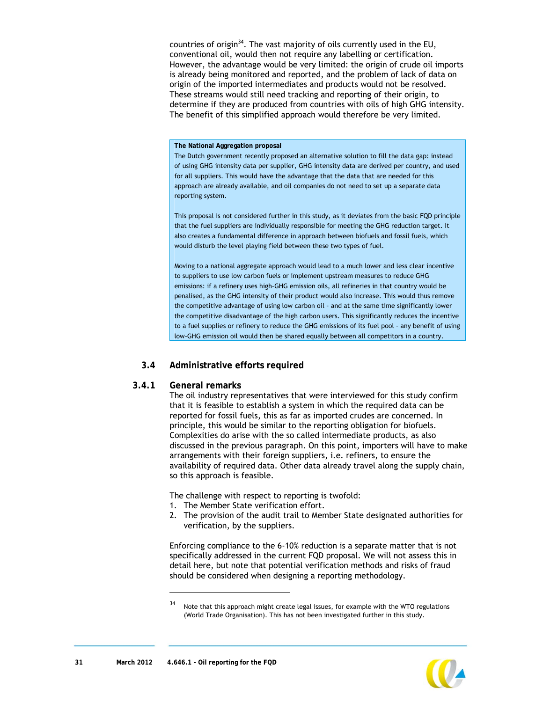countries of origin<sup>34</sup>. The vast majority of oils currently used in the EU, conventional oil, would then not require any labelling or certification. However, the advantage would be very limited: the origin of crude oil imports is already being monitored and reported, and the problem of lack of data on origin of the imported intermediates and products would not be resolved. These streams would still need tracking and reporting of their origin, to determine if they are produced from countries with oils of high GHG intensity. The benefit of this simplified approach would therefore be very limited.

**The National Aggregation proposal** 

The Dutch government recently proposed an alternative solution to fill the data gap: instead of using GHG intensity data per supplier, GHG intensity data are derived per country, and used for all suppliers. This would have the advantage that the data that are needed for this approach are already available, and oil companies do not need to set up a separate data reporting system.

This proposal is not considered further in this study, as it deviates from the basic FQD principle that the fuel suppliers are individually responsible for meeting the GHG reduction target. It also creates a fundamental difference in approach between biofuels and fossil fuels, which would disturb the level playing field between these two types of fuel.

Moving to a national aggregate approach would lead to a much lower and less clear incentive to suppliers to use low carbon fuels or implement upstream measures to reduce GHG emissions: if a refinery uses high-GHG emission oils, all refineries in that country would be penalised, as the GHG intensity of their product would also increase. This would thus remove the competitive advantage of using low carbon oil – and at the same time significantly lower the competitive disadvantage of the high carbon users. This significantly reduces the incentive to a fuel supplies or refinery to reduce the GHG emissions of its fuel pool – any benefit of using low-GHG emission oil would then be shared equally between all competitors in a country.

#### **3.4 Administrative efforts required**

#### **3.4.1 General remarks**

The oil industry representatives that were interviewed for this study confirm that it is feasible to establish a system in which the required data can be reported for fossil fuels, this as far as imported crudes are concerned. In principle, this would be similar to the reporting obligation for biofuels. Complexities do arise with the so called intermediate products, as also discussed in the previous paragraph. On this point, importers will have to make arrangements with their foreign suppliers, i.e. refiners, to ensure the availability of required data. Other data already travel along the supply chain, so this approach is feasible.

The challenge with respect to reporting is twofold:

- 1. The Member State verification effort.
- 2. The provision of the audit trail to Member State designated authorities for verification, by the suppliers.

Enforcing compliance to the 6-10% reduction is a separate matter that is not specifically addressed in the current FQD proposal. We will not assess this in detail here, but note that potential verification methods and risks of fraud should be considered when designing a reporting methodology.

<sup>34</sup> Note that this approach might create legal issues, for example with the WTO regulations (World Trade Organisation). This has not been investigated further in this study.



l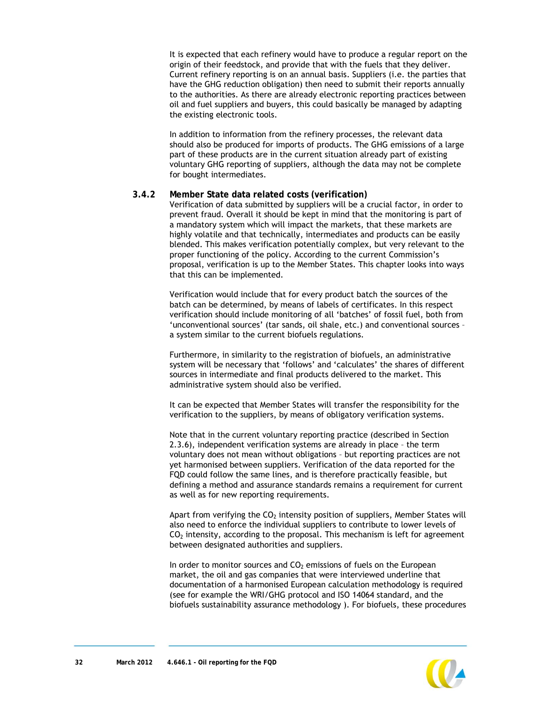It is expected that each refinery would have to produce a regular report on the origin of their feedstock, and provide that with the fuels that they deliver. Current refinery reporting is on an annual basis. Suppliers (i.e. the parties that have the GHG reduction obligation) then need to submit their reports annually to the authorities. As there are already electronic reporting practices between oil and fuel suppliers and buyers, this could basically be managed by adapting the existing electronic tools.

In addition to information from the refinery processes, the relevant data should also be produced for imports of products. The GHG emissions of a large part of these products are in the current situation already part of existing voluntary GHG reporting of suppliers, although the data may not be complete for bought intermediates.

#### **3.4.2 Member State data related costs (verification)**

Verification of data submitted by suppliers will be a crucial factor, in order to prevent fraud. Overall it should be kept in mind that the monitoring is part of a mandatory system which will impact the markets, that these markets are highly volatile and that technically, intermediates and products can be easily blended. This makes verification potentially complex, but very relevant to the proper functioning of the policy. According to the current Commission's proposal, verification is up to the Member States. This chapter looks into ways that this can be implemented.

Verification would include that for every product batch the sources of the batch can be determined, by means of labels of certificates. In this respect verification should include monitoring of all 'batches' of fossil fuel, both from 'unconventional sources' (tar sands, oil shale, etc.) and conventional sources – a system similar to the current biofuels regulations.

Furthermore, in similarity to the registration of biofuels, an administrative system will be necessary that 'follows' and 'calculates' the shares of different sources in intermediate and final products delivered to the market. This administrative system should also be verified.

It can be expected that Member States will transfer the responsibility for the verification to the suppliers, by means of obligatory verification systems.

Note that in the current voluntary reporting practice (described in Section 2.3.6), independent verification systems are already in place – the term voluntary does not mean without obligations – but reporting practices are not yet harmonised between suppliers. Verification of the data reported for the FQD could follow the same lines, and is therefore practically feasible, but defining a method and assurance standards remains a requirement for current as well as for new reporting requirements.

Apart from verifying the  $CO<sub>2</sub>$  intensity position of suppliers, Member States will also need to enforce the individual suppliers to contribute to lower levels of  $CO<sub>2</sub>$  intensity, according to the proposal. This mechanism is left for agreement between designated authorities and suppliers.

In order to monitor sources and  $CO<sub>2</sub>$  emissions of fuels on the European market, the oil and gas companies that were interviewed underline that documentation of a harmonised European calculation methodology is required (see for example the WRI/GHG protocol and ISO 14064 standard, and the biofuels sustainability assurance methodology ). For biofuels, these procedures

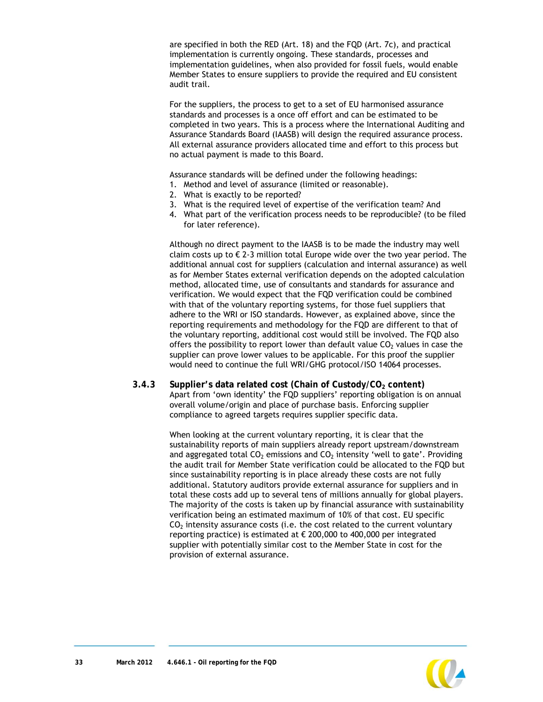are specified in both the RED (Art. 18) and the FQD (Art. 7c), and practical implementation is currently ongoing. These standards, processes and implementation guidelines, when also provided for fossil fuels, would enable Member States to ensure suppliers to provide the required and EU consistent audit trail.

For the suppliers, the process to get to a set of EU harmonised assurance standards and processes is a once off effort and can be estimated to be completed in two years. This is a process where the International Auditing and Assurance Standards Board (IAASB) will design the required assurance process. All external assurance providers allocated time and effort to this process but no actual payment is made to this Board.

Assurance standards will be defined under the following headings:

- 1. Method and level of assurance (limited or reasonable).
- 2. What is exactly to be reported?
- 3. What is the required level of expertise of the verification team? And
- 4. What part of the verification process needs to be reproducible? (to be filed for later reference).

Although no direct payment to the IAASB is to be made the industry may well claim costs up to  $\epsilon$  2-3 million total Europe wide over the two year period. The additional annual cost for suppliers (calculation and internal assurance) as well as for Member States external verification depends on the adopted calculation method, allocated time, use of consultants and standards for assurance and verification. We would expect that the FQD verification could be combined with that of the voluntary reporting systems, for those fuel suppliers that adhere to the WRI or ISO standards. However, as explained above, since the reporting requirements and methodology for the FQD are different to that of the voluntary reporting, additional cost would still be involved. The FQD also offers the possibility to report lower than default value  $CO<sub>2</sub>$  values in case the supplier can prove lower values to be applicable. For this proof the supplier would need to continue the full WRI/GHG protocol/ISO 14064 processes.

**3.4.3** Supplier's data related cost (Chain of Custody/CO<sub>2</sub> content) Apart from 'own identity' the FQD suppliers' reporting obligation is on annual overall volume/origin and place of purchase basis. Enforcing supplier compliance to agreed targets requires supplier specific data.

> When looking at the current voluntary reporting, it is clear that the sustainability reports of main suppliers already report upstream/downstream and aggregated total  $CO<sub>2</sub>$  emissions and  $CO<sub>2</sub>$  intensity 'well to gate'. Providing the audit trail for Member State verification could be allocated to the FQD but since sustainability reporting is in place already these costs are not fully additional. Statutory auditors provide external assurance for suppliers and in total these costs add up to several tens of millions annually for global players. The majority of the costs is taken up by financial assurance with sustainability verification being an estimated maximum of 10% of that cost. EU specific  $CO<sub>2</sub>$  intensity assurance costs (i.e. the cost related to the current voluntary reporting practice) is estimated at € 200,000 to 400,000 per integrated supplier with potentially similar cost to the Member State in cost for the provision of external assurance.

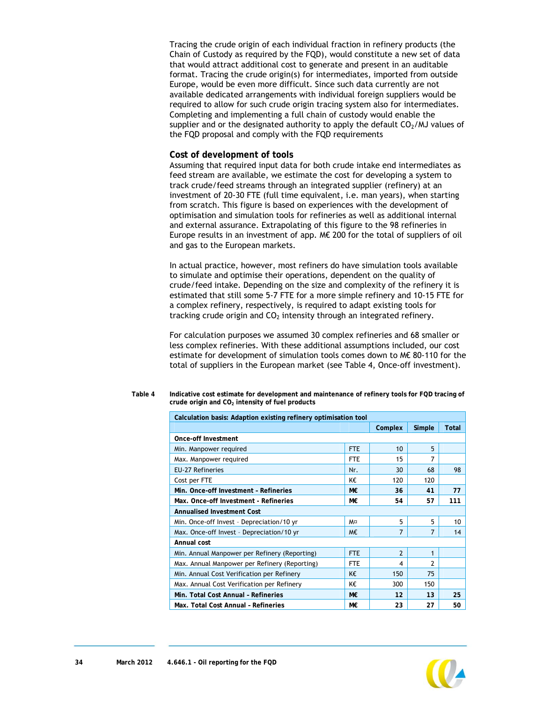Tracing the crude origin of each individual fraction in refinery products (the Chain of Custody as required by the FQD), would constitute a new set of data that would attract additional cost to generate and present in an auditable format. Tracing the crude origin(s) for intermediates, imported from outside Europe, would be even more difficult. Since such data currently are not available dedicated arrangements with individual foreign suppliers would be required to allow for such crude origin tracing system also for intermediates. Completing and implementing a full chain of custody would enable the supplier and or the designated authority to apply the default  $CO<sub>2</sub>/MJ$  values of the FQD proposal and comply with the FQD requirements

#### **Cost of development of tools**

Assuming that required input data for both crude intake end intermediates as feed stream are available, we estimate the cost for developing a system to track crude/feed streams through an integrated supplier (refinery) at an investment of 20-30 FTE (full time equivalent, i.e. man years), when starting from scratch. This figure is based on experiences with the development of optimisation and simulation tools for refineries as well as additional internal and external assurance. Extrapolating of this figure to the 98 refineries in Europe results in an investment of app. M€ 200 for the total of suppliers of oil and gas to the European markets.

In actual practice, however, most refiners do have simulation tools available to simulate and optimise their operations, dependent on the quality of crude/feed intake. Depending on the size and complexity of the refinery it is estimated that still some 5-7 FTE for a more simple refinery and 10-15 FTE for a complex refinery, respectively, is required to adapt existing tools for tracking crude origin and  $CO<sub>2</sub>$  intensity through an integrated refinery.

For calculation purposes we assumed 30 complex refineries and 68 smaller or less complex refineries. With these additional assumptions included, our cost estimate for development of simulation tools comes down to M€ 80-110 for the total of suppliers in the European market (see Table 4, Once-off investment).

| Calculation basis: Adaption existing refinery optimisation tool |            |                |                |              |  |  |  |
|-----------------------------------------------------------------|------------|----------------|----------------|--------------|--|--|--|
|                                                                 |            | Complex        | Simple         | <b>Total</b> |  |  |  |
| Once-off Investment                                             |            |                |                |              |  |  |  |
| Min. Manpower required                                          | <b>FTE</b> | 10             | 5              |              |  |  |  |
| Max. Manpower required                                          | <b>FTE</b> | 15             | 7              |              |  |  |  |
| <b>EU-27 Refineries</b>                                         | Nr.        | 30             | 68             | 98           |  |  |  |
| Cost per FTE                                                    | K€         | 120            | 120            |              |  |  |  |
| Min. Once-off Investment - Refineries                           | M€         | 36             | 41             | 77           |  |  |  |
| Max. Once-off Investment - Refineries                           | M€         | 54             | 57             | 111          |  |  |  |
| <b>Annualised Investment Cost</b>                               |            |                |                |              |  |  |  |
| Min. Once-off Invest - Depreciation/10 yr                       | M¤         | 5              | 5              | 10           |  |  |  |
| Max. Once-off Invest - Depreciation/10 yr                       | M€         | $\overline{7}$ | $\overline{7}$ | 14           |  |  |  |
| Annual cost                                                     |            |                |                |              |  |  |  |
| Min. Annual Manpower per Refinery (Reporting)                   | <b>FTE</b> | $\overline{2}$ | 1              |              |  |  |  |
| Max. Annual Manpower per Refinery (Reporting)                   | <b>FTE</b> | 4              | 2              |              |  |  |  |
| Min. Annual Cost Verification per Refinery                      | K€         | 150            | 75             |              |  |  |  |
| Max. Annual Cost Verification per Refinery                      | K€         | 300            | 150            |              |  |  |  |
| Min. Total Cost Annual - Refineries                             | M€         | 12             | 13             | 25           |  |  |  |
| Max. Total Cost Annual - Refineries                             | M€         | 23             | 27             | 50           |  |  |  |

| Table 4 | Indi |
|---------|------|
|         |      |

cative cost estimate for development and maintenance of refinery tools for FQD tracing of  **crude origin and CO2 intensity of fuel products** 

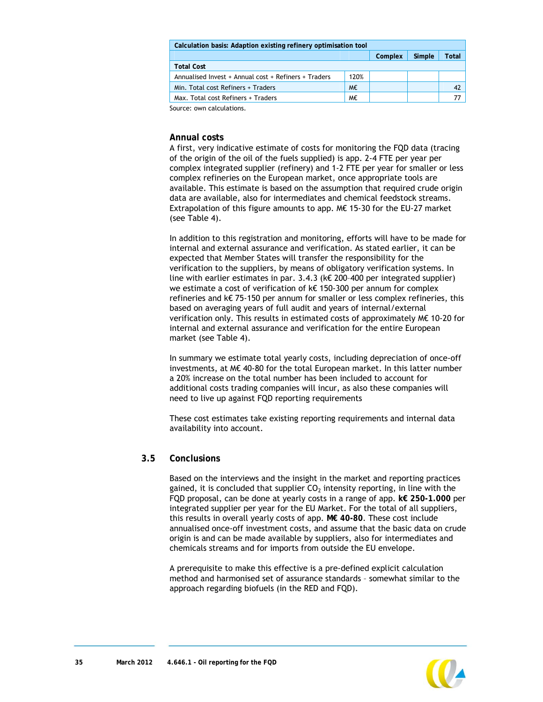|      | Calculation basis: Adaption existing refinery optimisation tool |        |       |  |  |  |  |  |
|------|-----------------------------------------------------------------|--------|-------|--|--|--|--|--|
|      | Complex                                                         | Simple | Total |  |  |  |  |  |
|      |                                                                 |        |       |  |  |  |  |  |
| 120% |                                                                 |        |       |  |  |  |  |  |
| M€   |                                                                 |        | 42    |  |  |  |  |  |
| M€   |                                                                 |        |       |  |  |  |  |  |
|      |                                                                 |        |       |  |  |  |  |  |

Source: own calculations.

#### **Annual costs**

A first, very indicative estimate of costs for monitoring the FQD data (tracing of the origin of the oil of the fuels supplied) is app. 2-4 FTE per year per complex integrated supplier (refinery) and 1-2 FTE per year for smaller or less complex refineries on the European market, once appropriate tools are available. This estimate is based on the assumption that required crude origin data are available, also for intermediates and chemical feedstock streams. Extrapolation of this figure amounts to app. M€ 15-30 for the EU-27 market (see Table 4).

In addition to this registration and monitoring, efforts will have to be made for internal and external assurance and verification. As stated earlier, it can be expected that Member States will transfer the responsibility for the verification to the suppliers, by means of obligatory verification systems. In line with earlier estimates in par.  $3.4.3$  (k $\epsilon$  200-400 per integrated supplier) we estimate a cost of verification of k€ 150-300 per annum for complex refineries and k€ 75-150 per annum for smaller or less complex refineries, this based on averaging years of full audit and years of internal/external verification only. This results in estimated costs of approximately M€ 10-20 for internal and external assurance and verification for the entire European market (see Table 4).

In summary we estimate total yearly costs, including depreciation of once-off investments, at M€ 40-80 for the total European market. In this latter number a 20% increase on the total number has been included to account for additional costs trading companies will incur, as also these companies will need to live up against FQD reporting requirements

These cost estimates take existing reporting requirements and internal data availability into account.

#### **3.5 Conclusions**

Based on the interviews and the insight in the market and reporting practices gained, it is concluded that supplier  $CO<sub>2</sub>$  intensity reporting, in line with the FQD proposal, can be done at yearly costs in a range of app. **k€ 250-1.000** per integrated supplier per year for the EU Market. For the total of all suppliers, this results in overall yearly costs of app. **M€ 40-80**. These cost include annualised once-off investment costs, and assume that the basic data on crude origin is and can be made available by suppliers, also for intermediates and chemicals streams and for imports from outside the EU envelope.

A prerequisite to make this effective is a pre-defined explicit calculation method and harmonised set of assurance standards – somewhat similar to the approach regarding biofuels (in the RED and FQD).

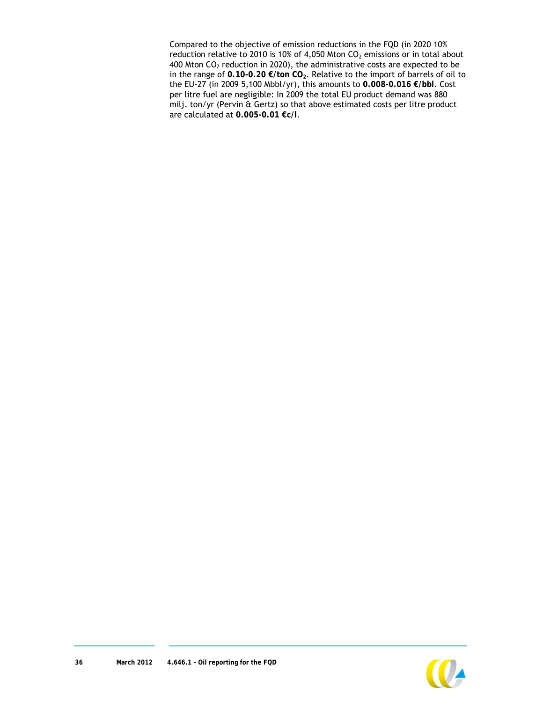Compared to the objective of emission reductions in the FQD (in 2020 10% reduction relative to 2010 is 10% of 4,050 Mton  $CO<sub>2</sub>$  emissions or in total about 400 Mton  $CO<sub>2</sub>$  reduction in 2020), the administrative costs are expected to be in the range of  $0.10$ -0.20  $\epsilon$ /ton CO<sub>2</sub>. Relative to the import of barrels of oil to the EU-27 (in 2009 5,100 Mbbl/yr), this amounts to **0.008-0.016 €/bbl**. Cost per litre fuel are negligible: In 2009 the total EU product demand was 880 milj. ton/yr (Pervin & Gertz) so that above estimated costs per litre product are calculated at **0.005-0.01 €c/l**.

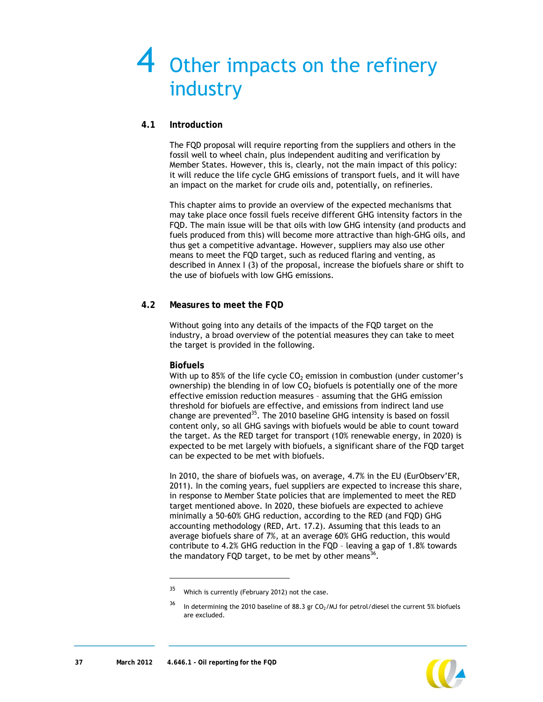## 4 Other impacts on the refinery industry

#### **4.1 Introduction**

The FQD proposal will require reporting from the suppliers and others in the fossil well to wheel chain, plus independent auditing and verification by Member States. However, this is, clearly, not the main impact of this policy: it will reduce the life cycle GHG emissions of transport fuels, and it will have an impact on the market for crude oils and, potentially, on refineries.

This chapter aims to provide an overview of the expected mechanisms that may take place once fossil fuels receive different GHG intensity factors in the FQD. The main issue will be that oils with low GHG intensity (and products and fuels produced from this) will become more attractive than high-GHG oils, and thus get a competitive advantage. However, suppliers may also use other means to meet the FQD target, such as reduced flaring and venting, as described in Annex I (3) of the proposal, increase the biofuels share or shift to the use of biofuels with low GHG emissions.

#### **4.2 Measures to meet the FQD**

Without going into any details of the impacts of the FQD target on the industry, a broad overview of the potential measures they can take to meet the target is provided in the following.

#### **Biofuels**

With up to 85% of the life cycle  $CO<sub>2</sub>$  emission in combustion (under customer's ownership) the blending in of low  $CO<sub>2</sub>$  biofuels is potentially one of the more effective emission reduction measures – assuming that the GHG emission threshold for biofuels are effective, and emissions from indirect land use change are prevented $35$ . The 2010 baseline GHG intensity is based on fossil content only, so all GHG savings with biofuels would be able to count toward the target. As the RED target for transport (10% renewable energy, in 2020) is expected to be met largely with biofuels, a significant share of the FQD target can be expected to be met with biofuels.

In 2010, the share of biofuels was, on average, 4.7% in the EU (EurObserv'ER, 2011). In the coming years, fuel suppliers are expected to increase this share, in response to Member State policies that are implemented to meet the RED target mentioned above. In 2020, these biofuels are expected to achieve minimally a 50-60% GHG reduction, according to the RED (and FQD) GHG accounting methodology (RED, Art. 17.2). Assuming that this leads to an average biofuels share of 7%, at an average 60% GHG reduction, this would contribute to 4.2% GHG reduction in the FQD – leaving a gap of 1.8% towards the mandatory FQD target, to be met by other means<sup>36</sup>.

<sup>&</sup>lt;sup>36</sup> In determining the 2010 baseline of 88.3 gr CO<sub>2</sub>/MJ for petrol/diesel the current 5% biofuels are excluded.



 $35$  Which is currently (February 2012) not the case.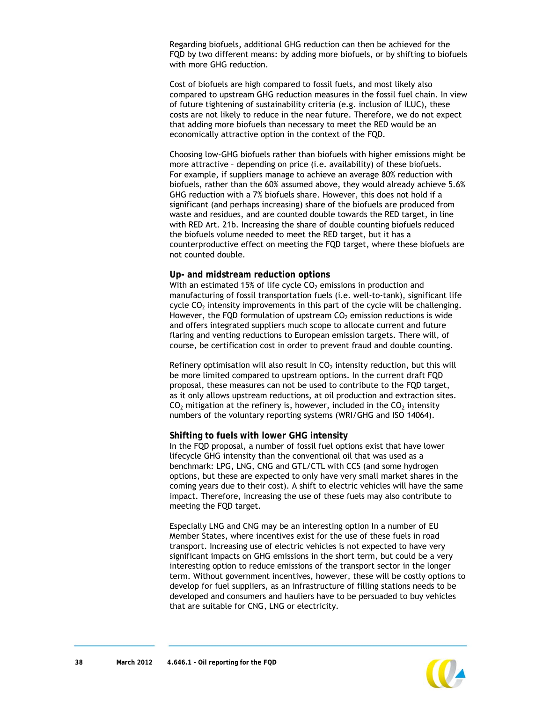Regarding biofuels, additional GHG reduction can then be achieved for the FQD by two different means: by adding more biofuels, or by shifting to biofuels with more GHG reduction.

Cost of biofuels are high compared to fossil fuels, and most likely also compared to upstream GHG reduction measures in the fossil fuel chain. In view of future tightening of sustainability criteria (e.g. inclusion of ILUC), these costs are not likely to reduce in the near future. Therefore, we do not expect that adding more biofuels than necessary to meet the RED would be an economically attractive option in the context of the FQD.

Choosing low-GHG biofuels rather than biofuels with higher emissions might be more attractive – depending on price (i.e. availability) of these biofuels. For example, if suppliers manage to achieve an average 80% reduction with biofuels, rather than the 60% assumed above, they would already achieve 5.6% GHG reduction with a 7% biofuels share. However, this does not hold if a significant (and perhaps increasing) share of the biofuels are produced from waste and residues, and are counted double towards the RED target, in line with RED Art. 21b. Increasing the share of double counting biofuels reduced the biofuels volume needed to meet the RED target, but it has a counterproductive effect on meeting the FQD target, where these biofuels are not counted double.

#### **Up- and midstream reduction options**

With an estimated 15% of life cycle  $CO<sub>2</sub>$  emissions in production and manufacturing of fossil transportation fuels (i.e. well-to-tank), significant life cycle  $CO<sub>2</sub>$  intensity improvements in this part of the cycle will be challenging. However, the FQD formulation of upstream  $CO<sub>2</sub>$  emission reductions is wide and offers integrated suppliers much scope to allocate current and future flaring and venting reductions to European emission targets. There will, of course, be certification cost in order to prevent fraud and double counting.

Refinery optimisation will also result in  $CO<sub>2</sub>$  intensity reduction, but this will be more limited compared to upstream options. In the current draft FQD proposal, these measures can not be used to contribute to the FQD target, as it only allows upstream reductions, at oil production and extraction sites.  $CO<sub>2</sub>$  mitigation at the refinery is, however, included in the  $CO<sub>2</sub>$  intensity numbers of the voluntary reporting systems (WRI/GHG and ISO 14064).

#### **Shifting to fuels with lower GHG intensity**

In the FQD proposal, a number of fossil fuel options exist that have lower lifecycle GHG intensity than the conventional oil that was used as a benchmark: LPG, LNG, CNG and GTL/CTL with CCS (and some hydrogen options, but these are expected to only have very small market shares in the coming years due to their cost). A shift to electric vehicles will have the same impact. Therefore, increasing the use of these fuels may also contribute to meeting the FQD target.

Especially LNG and CNG may be an interesting option In a number of EU Member States, where incentives exist for the use of these fuels in road transport. Increasing use of electric vehicles is not expected to have very significant impacts on GHG emissions in the short term, but could be a very interesting option to reduce emissions of the transport sector in the longer term. Without government incentives, however, these will be costly options to develop for fuel suppliers, as an infrastructure of filling stations needs to be developed and consumers and hauliers have to be persuaded to buy vehicles that are suitable for CNG, LNG or electricity.

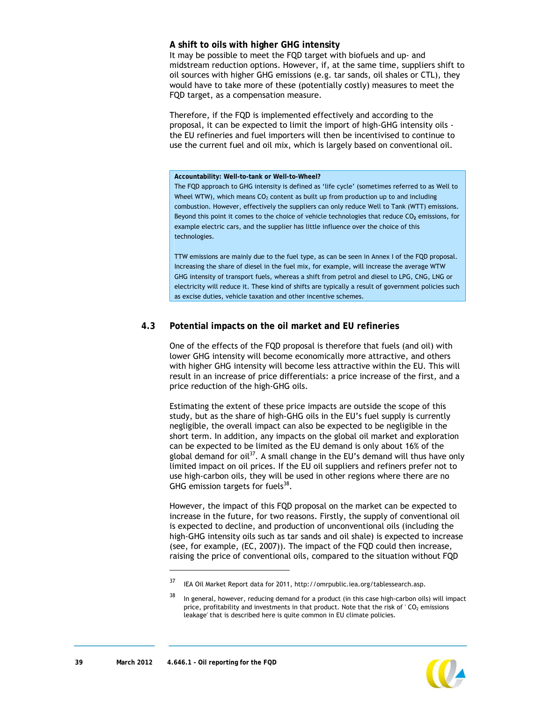#### **A shift to oils with higher GHG intensity**

It may be possible to meet the FQD target with biofuels and up- and midstream reduction options. However, if, at the same time, suppliers shift to oil sources with higher GHG emissions (e.g. tar sands, oil shales or CTL), they would have to take more of these (potentially costly) measures to meet the FQD target, as a compensation measure.

Therefore, if the FQD is implemented effectively and according to the proposal, it can be expected to limit the import of high-GHG intensity oils the EU refineries and fuel importers will then be incentivised to continue to use the current fuel and oil mix, which is largely based on conventional oil.

#### **Accountability: Well-to-tank or Well-to-Wheel?**

The FQD approach to GHG intensity is defined as 'life cycle' (sometimes referred to as Well to Wheel WTW), which means  $CO<sub>2</sub>$  content as built up from production up to and including combustion. However, effectively the suppliers can only reduce Well to Tank (WTT) emissions. Beyond this point it comes to the choice of vehicle technologies that reduce CO<sub>2</sub> emissions, for example electric cars, and the supplier has little influence over the choice of this technologies.

TTW emissions are mainly due to the fuel type, as can be seen in Annex I of the FQD proposal. Increasing the share of diesel in the fuel mix, for example, will increase the average WTW GHG intensity of transport fuels, whereas a shift from petrol and diesel to LPG, CNG, LNG or electricity will reduce it. These kind of shifts are typically a result of government policies such as excise duties, vehicle taxation and other incentive schemes.

#### **4.3 Potential impacts on the oil market and EU refineries**

One of the effects of the FQD proposal is therefore that fuels (and oil) with lower GHG intensity will become economically more attractive, and others with higher GHG intensity will become less attractive within the EU. This will result in an increase of price differentials: a price increase of the first, and a price reduction of the high-GHG oils.

Estimating the extent of these price impacts are outside the scope of this study, but as the share of high-GHG oils in the EU's fuel supply is currently negligible, the overall impact can also be expected to be negligible in the short term. In addition, any impacts on the global oil market and exploration can be expected to be limited as the EU demand is only about 16% of the global demand for  $oi^{37}$ . A small change in the EU's demand will thus have only limited impact on oil prices. If the EU oil suppliers and refiners prefer not to use high-carbon oils, they will be used in other regions where there are no GHG emission targets for fuels $^{38}$ .

However, the impact of this FQD proposal on the market can be expected to increase in the future, for two reasons. Firstly, the supply of conventional oil is expected to decline, and production of unconventional oils (including the high-GHG intensity oils such as tar sands and oil shale) is expected to increase (see, for example, (EC, 2007)). The impact of the FQD could then increase, raising the price of conventional oils, compared to the situation without FQD

<sup>&</sup>lt;sup>38</sup> In general, however, reducing demand for a product (in this case high-carbon oils) will impact price, profitability and investments in that product. Note that the risk of ' $CO<sub>2</sub>$  emissions leakage' that is described here is quite common in EU climate policies.



<sup>37</sup> IEA Oil Market Report data for 2011, http://omrpublic.iea.org/tablessearch.asp.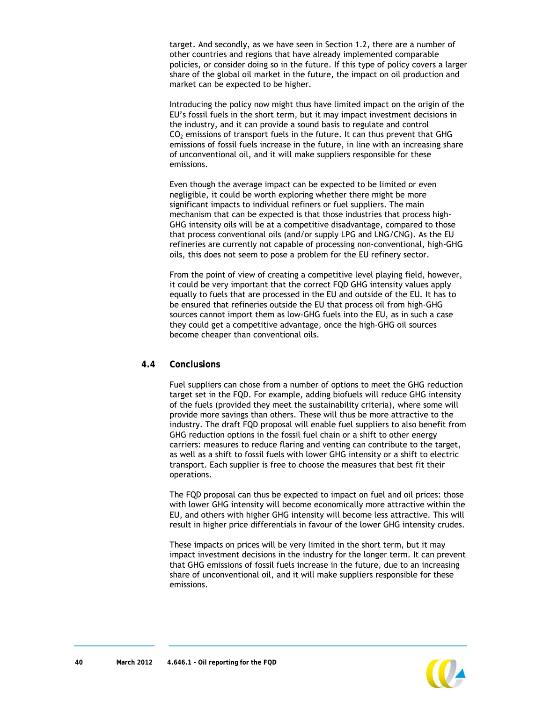target. And secondly, as we have seen in Section 1.2, there are a number of other countries and regions that have already implemented comparable policies, or consider doing so in the future. If this type of policy covers a larger share of the global oil market in the future, the impact on oil production and market can be expected to be higher.

Introducing the policy now might thus have limited impact on the origin of the EU's fossil fuels in the short term, but it may impact investment decisions in the industry, and it can provide a sound basis to regulate and control  $CO<sub>2</sub>$  emissions of transport fuels in the future. It can thus prevent that GHG emissions of fossil fuels increase in the future, in line with an increasing share of unconventional oil, and it will make suppliers responsible for these emissions.

Even though the average impact can be expected to be limited or even negligible, it could be worth exploring whether there might be more significant impacts to individual refiners or fuel suppliers. The main mechanism that can be expected is that those industries that process high-GHG intensity oils will be at a competitive disadvantage, compared to those that process conventional oils (and/or supply LPG and LNG/CNG). As the EU refineries are currently not capable of processing non-conventional, high-GHG oils, this does not seem to pose a problem for the EU refinery sector.

From the point of view of creating a competitive level playing field, however, it could be very important that the correct FQD GHG intensity values apply equally to fuels that are processed in the EU and outside of the EU. It has to be ensured that refineries outside the EU that process oil from high-GHG sources cannot import them as low-GHG fuels into the EU, as in such a case they could get a competitive advantage, once the high-GHG oil sources become cheaper than conventional oils.

#### **4.4 Conclusions**

Fuel suppliers can chose from a number of options to meet the GHG reduction target set in the FQD. For example, adding biofuels will reduce GHG intensity of the fuels (provided they meet the sustainability criteria), where some will provide more savings than others. These will thus be more attractive to the industry. The draft FQD proposal will enable fuel suppliers to also benefit from GHG reduction options in the fossil fuel chain or a shift to other energy carriers: measures to reduce flaring and venting can contribute to the target, as well as a shift to fossil fuels with lower GHG intensity or a shift to electric transport. Each supplier is free to choose the measures that best fit their operations.

The FQD proposal can thus be expected to impact on fuel and oil prices: those with lower GHG intensity will become economically more attractive within the EU, and others with higher GHG intensity will become less attractive. This will result in higher price differentials in favour of the lower GHG intensity crudes.

These impacts on prices will be very limited in the short term, but it may impact investment decisions in the industry for the longer term. It can prevent that GHG emissions of fossil fuels increase in the future, due to an increasing share of unconventional oil, and it will make suppliers responsible for these emissions.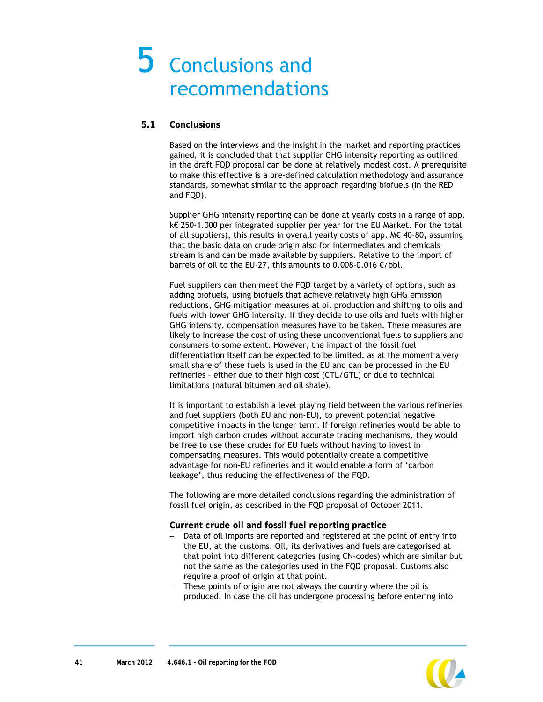## 5 Conclusions and recommendations

#### **5.1 Conclusions**

Based on the interviews and the insight in the market and reporting practices gained, it is concluded that that supplier GHG intensity reporting as outlined in the draft FQD proposal can be done at relatively modest cost. A prerequisite to make this effective is a pre-defined calculation methodology and assurance standards, somewhat similar to the approach regarding biofuels (in the RED and FQD).

Supplier GHG intensity reporting can be done at yearly costs in a range of app. k€ 250-1.000 per integrated supplier per year for the EU Market. For the total of all suppliers), this results in overall yearly costs of app. M€ 40-80, assuming that the basic data on crude origin also for intermediates and chemicals stream is and can be made available by suppliers. Relative to the import of barrels of oil to the EU-27, this amounts to 0.008-0.016 €/bbl.

Fuel suppliers can then meet the FQD target by a variety of options, such as adding biofuels, using biofuels that achieve relatively high GHG emission reductions, GHG mitigation measures at oil production and shifting to oils and fuels with lower GHG intensity. If they decide to use oils and fuels with higher GHG intensity, compensation measures have to be taken. These measures are likely to increase the cost of using these unconventional fuels to suppliers and consumers to some extent. However, the impact of the fossil fuel differentiation itself can be expected to be limited, as at the moment a very small share of these fuels is used in the EU and can be processed in the EU refineries – either due to their high cost (CTL/GTL) or due to technical limitations (natural bitumen and oil shale).

It is important to establish a level playing field between the various refineries and fuel suppliers (both EU and non-EU), to prevent potential negative competitive impacts in the longer term. If foreign refineries would be able to import high carbon crudes without accurate tracing mechanisms, they would be free to use these crudes for EU fuels without having to invest in compensating measures. This would potentially create a competitive advantage for non-EU refineries and it would enable a form of 'carbon leakage', thus reducing the effectiveness of the FQD.

The following are more detailed conclusions regarding the administration of fossil fuel origin, as described in the FQD proposal of October 2011.

#### **Current crude oil and fossil fuel reporting practice**

- Data of oil imports are reported and registered at the point of entry into the EU, at the customs. Oil, its derivatives and fuels are categorised at that point into different categories (using CN-codes) which are similar but not the same as the categories used in the FQD proposal. Customs also require a proof of origin at that point.
- These points of origin are not always the country where the oil is produced. In case the oil has undergone processing before entering into

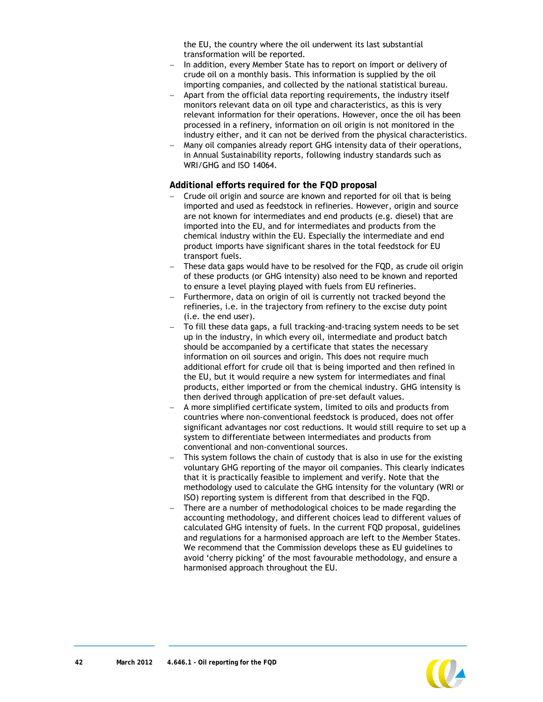the EU, the country where the oil underwent its last substantial transformation will be reported.

- In addition, every Member State has to report on import or delivery of crude oil on a monthly basis. This information is supplied by the oil importing companies, and collected by the national statistical bureau.
- Apart from the official data reporting requirements, the industry itself monitors relevant data on oil type and characteristics, as this is very relevant information for their operations. However, once the oil has been processed in a refinery, information on oil origin is not monitored in the industry either, and it can not be derived from the physical characteristics.
- Many oil companies already report GHG intensity data of their operations, in Annual Sustainability reports, following industry standards such as WRI/GHG and ISO 14064.

#### **Additional efforts required for the FQD proposal**

- Crude oil origin and source are known and reported for oil that is being imported and used as feedstock in refineries. However, origin and source are not known for intermediates and end products (e.g. diesel) that are imported into the EU, and for intermediates and products from the chemical industry within the EU. Especially the intermediate and end product imports have significant shares in the total feedstock for EU transport fuels.
- These data gaps would have to be resolved for the FQD, as crude oil origin of these products (or GHG intensity) also need to be known and reported to ensure a level playing played with fuels from EU refineries.
- Furthermore, data on origin of oil is currently not tracked beyond the refineries, i.e. in the trajectory from refinery to the excise duty point (i.e. the end user).
- To fill these data gaps, a full tracking-and-tracing system needs to be set up in the industry, in which every oil, intermediate and product batch should be accompanied by a certificate that states the necessary information on oil sources and origin. This does not require much additional effort for crude oil that is being imported and then refined in the EU, but it would require a new system for intermediates and final products, either imported or from the chemical industry. GHG intensity is then derived through application of pre-set default values.
- A more simplified certificate system, limited to oils and products from countries where non-conventional feedstock is produced, does not offer significant advantages nor cost reductions. It would still require to set up a system to differentiate between intermediates and products from conventional and non-conventional sources.
- This system follows the chain of custody that is also in use for the existing voluntary GHG reporting of the mayor oil companies. This clearly indicates that it is practically feasible to implement and verify. Note that the methodology used to calculate the GHG intensity for the voluntary (WRI or ISO) reporting system is different from that described in the FQD.
- There are a number of methodological choices to be made regarding the accounting methodology, and different choices lead to different values of calculated GHG intensity of fuels. In the current FQD proposal, guidelines and regulations for a harmonised approach are left to the Member States. We recommend that the Commission develops these as EU guidelines to avoid 'cherry picking' of the most favourable methodology, and ensure a harmonised approach throughout the EU.

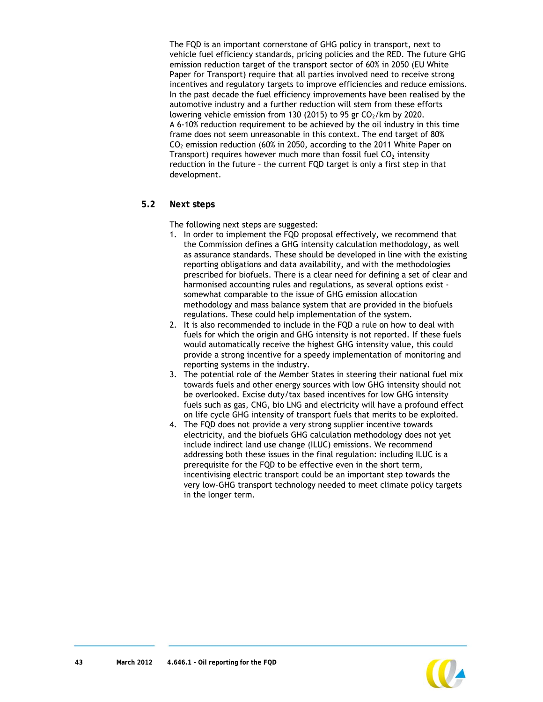The FQD is an important cornerstone of GHG policy in transport, next to vehicle fuel efficiency standards, pricing policies and the RED. The future GHG emission reduction target of the transport sector of 60% in 2050 (EU White Paper for Transport) require that all parties involved need to receive strong incentives and regulatory targets to improve efficiencies and reduce emissions. In the past decade the fuel efficiency improvements have been realised by the automotive industry and a further reduction will stem from these efforts lowering vehicle emission from 130 (2015) to 95 gr  $CO<sub>2</sub>/km$  by 2020. A 6-10% reduction requirement to be achieved by the oil industry in this time frame does not seem unreasonable in this context. The end target of 80%  $CO<sub>2</sub>$  emission reduction (60% in 2050, according to the 2011 White Paper on Transport) requires however much more than fossil fuel  $CO<sub>2</sub>$  intensity reduction in the future – the current FQD target is only a first step in that development.

#### **5.2 Next steps**

The following next steps are suggested:

- 1. In order to implement the FQD proposal effectively, we recommend that the Commission defines a GHG intensity calculation methodology, as well as assurance standards. These should be developed in line with the existing reporting obligations and data availability, and with the methodologies prescribed for biofuels. There is a clear need for defining a set of clear and harmonised accounting rules and regulations, as several options exist somewhat comparable to the issue of GHG emission allocation methodology and mass balance system that are provided in the biofuels regulations. These could help implementation of the system.
- 2. It is also recommended to include in the FQD a rule on how to deal with fuels for which the origin and GHG intensity is not reported. If these fuels would automatically receive the highest GHG intensity value, this could provide a strong incentive for a speedy implementation of monitoring and reporting systems in the industry.
- 3. The potential role of the Member States in steering their national fuel mix towards fuels and other energy sources with low GHG intensity should not be overlooked. Excise duty/tax based incentives for low GHG intensity fuels such as gas, CNG, bio LNG and electricity will have a profound effect on life cycle GHG intensity of transport fuels that merits to be exploited.
- 4. The FQD does not provide a very strong supplier incentive towards electricity, and the biofuels GHG calculation methodology does not yet include indirect land use change (ILUC) emissions. We recommend addressing both these issues in the final regulation: including ILUC is a prerequisite for the FQD to be effective even in the short term, incentivising electric transport could be an important step towards the very low-GHG transport technology needed to meet climate policy targets in the longer term.

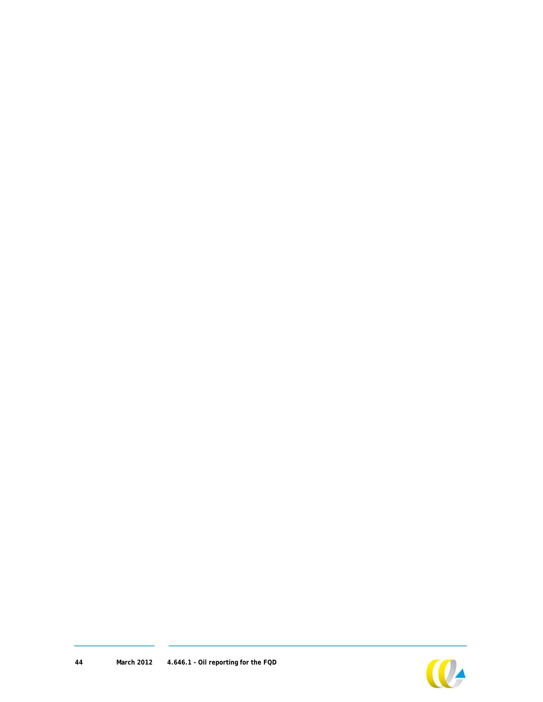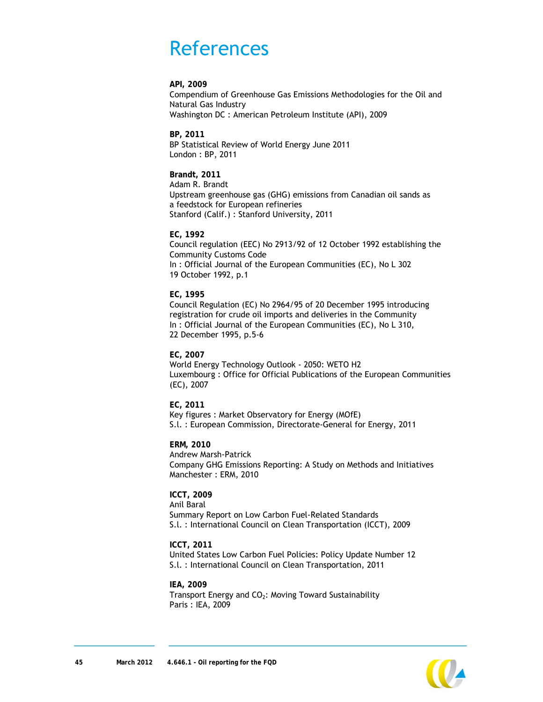### References

**API, 2009**  Compendium of Greenhouse Gas Emissions Methodologies for the Oil and Natural Gas Industry Washington DC : American Petroleum Institute (API), 2009

**BP, 2011**  BP Statistical Review of World Energy June 2011 London : BP, 2011

**Brandt, 2011**  Adam R. Brandt Upstream greenhouse gas (GHG) emissions from Canadian oil sands as a feedstock for European refineries Stanford (Calif.) : Stanford University, 2011

**EC, 1992** 

Council regulation (EEC) No 2913/92 of 12 October 1992 establishing the Community Customs Code In : Official Journal of the European Communities (EC), No L 302 19 October 1992, p.1

**EC, 1995**

Council Regulation (EC) No 2964/95 of 20 December 1995 introducing registration for crude oil imports and deliveries in the Community In : Official Journal of the European Communities (EC), No L 310, 22 December 1995, p.5-6

**EC, 2007**  World Energy Technology Outlook - 2050: WETO H2 Luxembourg : Office for Official Publications of the European Communities (EC), 2007

**EC, 2011** Key figures : Market Observatory for Energy (MOfE) S.l. : European Commission, Directorate-General for Energy, 2011

**ERM, 2010**  Andrew Marsh-Patrick Company GHG Emissions Reporting: A Study on Methods and Initiatives Manchester : ERM, 2010

**ICCT, 2009**  Anil Baral Summary Report on Low Carbon Fuel-Related Standards S.l. : International Council on Clean Transportation (ICCT), 2009

**ICCT, 2011**  United States Low Carbon Fuel Policies: Policy Update Number 12 S.l. : International Council on Clean Transportation, 2011

**IEA, 2009**  Transport Energy and CO<sub>2</sub>: Moving Toward Sustainability Paris : IEA, 2009